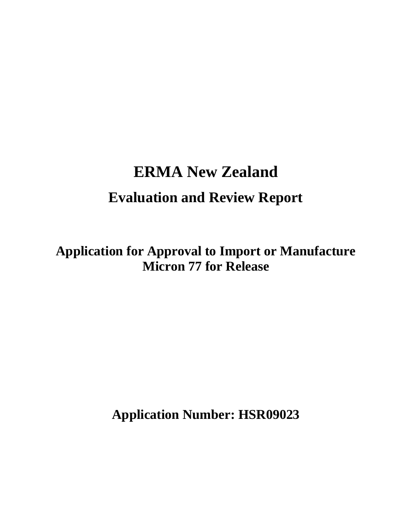# **ERMA New Zealand Evaluation and Review Report**

**Application for Approval to Import or Manufacture Micron 77 for Release** 

**Application Number: HSR09023**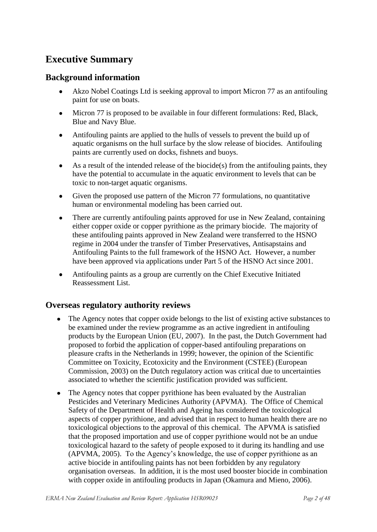# **Executive Summary**

### **Background information**

- Akzo Nobel Coatings Ltd is seeking approval to import Micron 77 as an antifouling paint for use on boats.
- $\bullet$ Micron 77 is proposed to be available in four different formulations: Red, Black, Blue and Navy Blue.
- Antifouling paints are applied to the hulls of vessels to prevent the build up of aquatic organisms on the hull surface by the slow release of biocides. Antifouling paints are currently used on docks, fishnets and buoys.
- As a result of the intended release of the biocide(s) from the antifouling paints, they have the potential to accumulate in the aquatic environment to levels that can be toxic to non-target aquatic organisms.
- $\bullet$ Given the proposed use pattern of the Micron 77 formulations, no quantitative human or environmental modeling has been carried out.
- There are currently antifouling paints approved for use in New Zealand, containing  $\bullet$ either copper oxide or copper pyrithione as the primary biocide. The majority of these antifouling paints approved in New Zealand were transferred to the HSNO regime in 2004 under the transfer of Timber Preservatives, Antisapstains and Antifouling Paints to the full framework of the HSNO Act. However, a number have been approved via applications under Part 5 of the HSNO Act since 2001.
- Antifouling paints as a group are currently on the Chief Executive Initiated  $\bullet$ Reassessment List.

### **Overseas regulatory authority reviews**

- The Agency notes that copper oxide belongs to the list of existing active substances to be examined under the review programme as an active ingredient in antifouling products by the European Union (EU, 2007). In the past, the Dutch Government had proposed to forbid the application of copper-based antifouling preparations on pleasure crafts in the Netherlands in 1999; however, the opinion of the Scientific Committee on Toxicity, Ecotoxicity and the Environment (CSTEE) (European Commission, 2003) on the Dutch regulatory action was critical due to uncertainties associated to whether the scientific justification provided was sufficient.
- The Agency notes that copper pyrithione has been evaluated by the Australian  $\bullet$ Pesticides and Veterinary Medicines Authority (APVMA). The Office of Chemical Safety of the Department of Health and Ageing has considered the toxicological aspects of copper pyrithione, and advised that in respect to human health there are no toxicological objections to the approval of this chemical. The APVMA is satisfied that the proposed importation and use of copper pyrithione would not be an undue toxicological hazard to the safety of people exposed to it during its handling and use (APVMA, 2005). To the Agency"s knowledge, the use of copper pyrithione as an active biocide in antifouling paints has not been forbidden by any regulatory organisation overseas. In addition, it is the most used booster biocide in combination with copper oxide in antifouling products in Japan (Okamura and Mieno, 2006).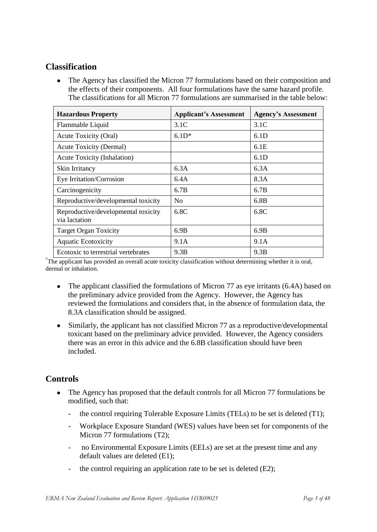### **Classification**

The Agency has classified the Micron 77 formulations based on their composition and the effects of their components. All four formulations have the same hazard profile. The classifications for all Micron 77 formulations are summarised in the table below:

| <b>Hazardous Property</b>                            | <b>Applicant's Assessment</b> | <b>Agency's Assessment</b> |
|------------------------------------------------------|-------------------------------|----------------------------|
| Flammable Liquid                                     | 3.1C                          | 3.1C                       |
| Acute Toxicity (Oral)                                | $6.1D*$                       | 6.1D                       |
| <b>Acute Toxicity (Dermal)</b>                       |                               | 6.1E                       |
| Acute Toxicity (Inhalation)                          |                               | 6.1D                       |
| Skin Irritancy                                       | 6.3A                          | 6.3A                       |
| Eye Irritation/Corrosion                             | 6.4A                          | 8.3A                       |
| Carcinogenicity                                      | 6.7B                          | 6.7B                       |
| Reproductive/developmental toxicity                  | N <sub>0</sub>                | 6.8B                       |
| Reproductive/developmental toxicity<br>via lactation | 6.8C                          | 6.8C                       |
| <b>Target Organ Toxicity</b>                         | 6.9B                          | 6.9B                       |
| <b>Aquatic Ecotoxicity</b>                           | 9.1A                          | 9.1A                       |
| Ecotoxic to terrestrial vertebrates                  | 9.3B                          | 9.3B                       |

\*The applicant has provided an overall acute toxicity classification without determining whether it is oral, dermal or inhalation.

- $\bullet$ The applicant classified the formulations of Micron 77 as eye irritants (6.4A) based on the preliminary advice provided from the Agency. However, the Agency has reviewed the formulations and considers that, in the absence of formulation data, the 8.3A classification should be assigned.
- Similarly, the applicant has not classified Micron 77 as a reproductive/developmental  $\bullet$ toxicant based on the preliminary advice provided. However, the Agency considers there was an error in this advice and the 6.8B classification should have been included.

### **Controls**

- $\bullet$ The Agency has proposed that the default controls for all Micron 77 formulations be modified, such that:
	- the control requiring Tolerable Exposure Limits (TELs) to be set is deleted (T1);
	- Workplace Exposure Standard (WES) values have been set for components of the Micron 77 formulations (T2);
	- no Environmental Exposure Limits (EELs) are set at the present time and any default values are deleted (E1);
	- the control requiring an application rate to be set is deleted  $(E2)$ ;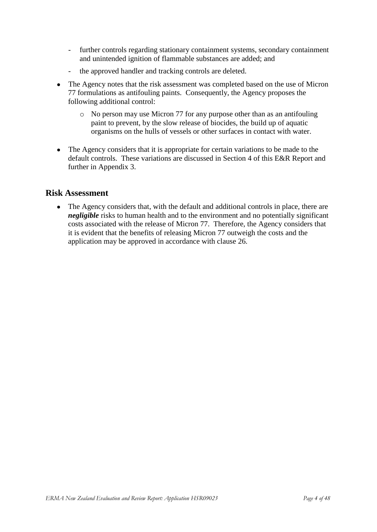- further controls regarding stationary containment systems, secondary containment and unintended ignition of flammable substances are added; and
- the approved handler and tracking controls are deleted.
- The Agency notes that the risk assessment was completed based on the use of Micron  $\bullet$ 77 formulations as antifouling paints. Consequently, the Agency proposes the following additional control:
	- o No person may use Micron 77 for any purpose other than as an antifouling paint to prevent, by the slow release of biocides, the build up of aquatic organisms on the hulls of vessels or other surfaces in contact with water.
- The Agency considers that it is appropriate for certain variations to be made to the default controls. These variations are discussed in Section 4 of this E&R Report and further in Appendix 3.

### **Risk Assessment**

• The Agency considers that, with the default and additional controls in place, there are *negligible* risks to human health and to the environment and no potentially significant costs associated with the release of Micron 77. Therefore, the Agency considers that it is evident that the benefits of releasing Micron 77 outweigh the costs and the application may be approved in accordance with clause 26.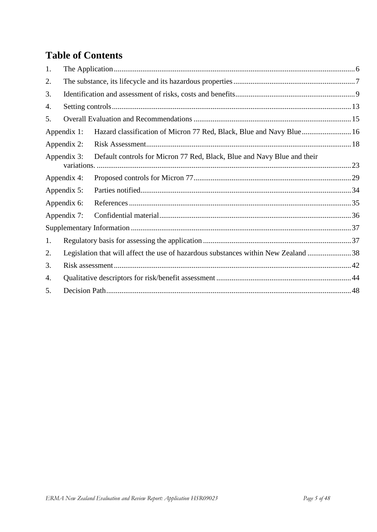# **Table of Contents**

| 1. |             |                                                                                    |  |
|----|-------------|------------------------------------------------------------------------------------|--|
| 2. |             |                                                                                    |  |
| 3. |             |                                                                                    |  |
| 4. |             |                                                                                    |  |
| 5. |             |                                                                                    |  |
|    | Appendix 1: | Hazard classification of Micron 77 Red, Black, Blue and Navy Blue 16               |  |
|    | Appendix 2: |                                                                                    |  |
|    | Appendix 3: | Default controls for Micron 77 Red, Black, Blue and Navy Blue and their            |  |
|    | Appendix 4: |                                                                                    |  |
|    | Appendix 5: |                                                                                    |  |
|    | Appendix 6: |                                                                                    |  |
|    | Appendix 7: |                                                                                    |  |
|    |             |                                                                                    |  |
| 1. |             |                                                                                    |  |
| 2. |             | Legislation that will affect the use of hazardous substances within New Zealand 38 |  |
| 3. |             |                                                                                    |  |
| 4. |             |                                                                                    |  |
| 5. |             |                                                                                    |  |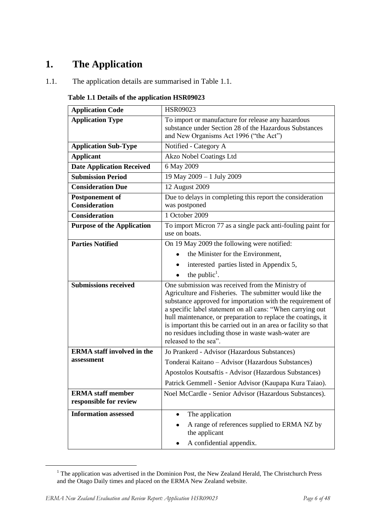# <span id="page-5-0"></span>**1. The Application**

1.1. The application details are summarised in Table 1.1.

| Table 1.1 Details of the application HSR09023 |  |  |  |  |  |  |
|-----------------------------------------------|--|--|--|--|--|--|
|-----------------------------------------------|--|--|--|--|--|--|

| <b>Application Code</b>                            | <b>HSR09023</b>                                                                                                                                                                                                                                                                                                                                                                                                                                            |
|----------------------------------------------------|------------------------------------------------------------------------------------------------------------------------------------------------------------------------------------------------------------------------------------------------------------------------------------------------------------------------------------------------------------------------------------------------------------------------------------------------------------|
| <b>Application Type</b>                            | To import or manufacture for release any hazardous<br>substance under Section 28 of the Hazardous Substances<br>and New Organisms Act 1996 ("the Act")                                                                                                                                                                                                                                                                                                     |
| <b>Application Sub-Type</b>                        | Notified - Category A                                                                                                                                                                                                                                                                                                                                                                                                                                      |
| <b>Applicant</b>                                   | Akzo Nobel Coatings Ltd                                                                                                                                                                                                                                                                                                                                                                                                                                    |
| <b>Date Application Received</b>                   | 6 May 2009                                                                                                                                                                                                                                                                                                                                                                                                                                                 |
| <b>Submission Period</b>                           | 19 May 2009 - 1 July 2009                                                                                                                                                                                                                                                                                                                                                                                                                                  |
| <b>Consideration Due</b>                           | 12 August 2009                                                                                                                                                                                                                                                                                                                                                                                                                                             |
| <b>Postponement of</b><br><b>Consideration</b>     | Due to delays in completing this report the consideration<br>was postponed                                                                                                                                                                                                                                                                                                                                                                                 |
| <b>Consideration</b>                               | 1 October 2009                                                                                                                                                                                                                                                                                                                                                                                                                                             |
| <b>Purpose of the Application</b>                  | To import Micron 77 as a single pack anti-fouling paint for<br>use on boats.                                                                                                                                                                                                                                                                                                                                                                               |
| <b>Parties Notified</b>                            | On 19 May 2009 the following were notified:                                                                                                                                                                                                                                                                                                                                                                                                                |
|                                                    | the Minister for the Environment.                                                                                                                                                                                                                                                                                                                                                                                                                          |
|                                                    | interested parties listed in Appendix 5,                                                                                                                                                                                                                                                                                                                                                                                                                   |
|                                                    | the public <sup>1</sup> .                                                                                                                                                                                                                                                                                                                                                                                                                                  |
| <b>Submissions received</b>                        | One submission was received from the Ministry of<br>Agriculture and Fisheries. The submitter would like the<br>substance approved for importation with the requirement of<br>a specific label statement on all cans: "When carrying out<br>hull maintenance, or preparation to replace the coatings, it<br>is important this be carried out in an area or facility so that<br>no residues including those in waste wash-water are<br>released to the sea". |
| <b>ERMA</b> staff involved in the                  | Jo Prankerd - Advisor (Hazardous Substances)                                                                                                                                                                                                                                                                                                                                                                                                               |
| assessment                                         | Tonderai Kaitano - Advisor (Hazardous Substances)                                                                                                                                                                                                                                                                                                                                                                                                          |
|                                                    | Apostolos Koutsaftis - Advisor (Hazardous Substances)                                                                                                                                                                                                                                                                                                                                                                                                      |
|                                                    | Patrick Gemmell - Senior Advisor (Kaupapa Kura Taiao).                                                                                                                                                                                                                                                                                                                                                                                                     |
| <b>ERMA</b> staff member<br>responsible for review | Noel McCardle - Senior Advisor (Hazardous Substances).                                                                                                                                                                                                                                                                                                                                                                                                     |
| <b>Information assessed</b>                        | The application<br>٠                                                                                                                                                                                                                                                                                                                                                                                                                                       |
|                                                    | A range of references supplied to ERMA NZ by<br>the applicant                                                                                                                                                                                                                                                                                                                                                                                              |
|                                                    | A confidential appendix.                                                                                                                                                                                                                                                                                                                                                                                                                                   |

 $1$  The application was advertised in the Dominion Post, the New Zealand Herald, The Christchurch Press and the Otago Daily times and placed on the ERMA New Zealand website.

**.**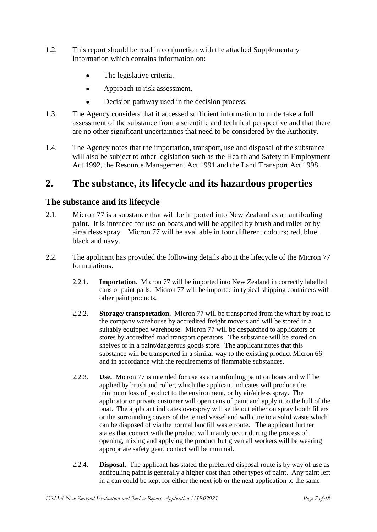- 1.2. This report should be read in conjunction with the attached Supplementary Information which contains information on:
	- The legislative criteria.  $\bullet$
	- Approach to risk assessment.  $\bullet$
	- $\bullet$ Decision pathway used in the decision process.
- 1.3. The Agency considers that it accessed sufficient information to undertake a full assessment of the substance from a scientific and technical perspective and that there are no other significant uncertainties that need to be considered by the Authority.
- 1.4. The Agency notes that the importation, transport, use and disposal of the substance will also be subject to other legislation such as the Health and Safety in Employment Act 1992, the Resource Management Act 1991 and the Land Transport Act 1998.

### <span id="page-6-0"></span>**2. The substance, its lifecycle and its hazardous properties**

### **The substance and its lifecycle**

- 2.1. Micron 77 is a substance that will be imported into New Zealand as an antifouling paint. It is intended for use on boats and will be applied by brush and roller or by air/airless spray. Micron 77 will be available in four different colours; red, blue, black and navy.
- 2.2. The applicant has provided the following details about the lifecycle of the Micron 77 formulations.
	- 2.2.1. **Importation**. Micron 77 will be imported into New Zealand in correctly labelled cans or paint pails. Micron 77 will be imported in typical shipping containers with other paint products.
	- 2.2.2. **Storage/ transportation.** Micron 77 will be transported from the wharf by road to the company warehouse by accredited freight movers and will be stored in a suitably equipped warehouse. Micron 77 will be despatched to applicators or stores by accredited road transport operators. The substance will be stored on shelves or in a paint/dangerous goods store. The applicant notes that this substance will be transported in a similar way to the existing product Micron 66 and in accordance with the requirements of flammable substances.
	- 2.2.3. **Use.** Micron 77 is intended for use as an antifouling paint on boats and will be applied by brush and roller, which the applicant indicates will produce the minimum loss of product to the environment, or by air/airless spray. The applicator or private customer will open cans of paint and apply it to the hull of the boat. The applicant indicates overspray will settle out either on spray booth filters or the surrounding covers of the tented vessel and will cure to a solid waste which can be disposed of via the normal landfill waste route. The applicant further states that contact with the product will mainly occur during the process of opening, mixing and applying the product but given all workers will be wearing appropriate safety gear, contact will be minimal.
	- 2.2.4. **Disposal.** The applicant has stated the preferred disposal route is by way of use as antifouling paint is generally a higher cost than other types of paint. Any paint left in a can could be kept for either the next job or the next application to the same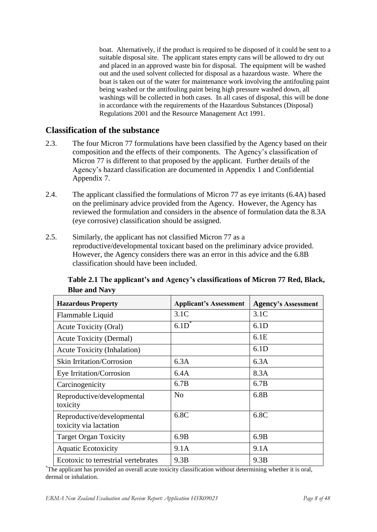boat. Alternatively, if the product is required to be disposed of it could be sent to a suitable disposal site. The applicant states empty cans will be allowed to dry out and placed in an approved waste bin for disposal. The equipment will be washed out and the used solvent collected for disposal as a hazardous waste. Where the boat is taken out of the water for maintenance work involving the antifouling paint being washed or the antifouling paint being high pressure washed down, all washings will be collected in both cases. In all cases of disposal, this will be done in accordance with the requirements of the Hazardous Substances (Disposal) Regulations 2001 and the Resource Management Act 1991.

### **Classification of the substance**

- 2.3. The four Micron 77 formulations have been classified by the Agency based on their composition and the effects of their components. The Agency"s classification of Micron 77 is different to that proposed by the applicant. Further details of the Agency"s hazard classification are documented in Appendix 1 and Confidential Appendix 7.
- 2.4. The applicant classified the formulations of Micron 77 as eye irritants (6.4A) based on the preliminary advice provided from the Agency. However, the Agency has reviewed the formulation and considers in the absence of formulation data the 8.3A (eye corrosive) classification should be assigned.
- 2.5. Similarly, the applicant has not classified Micron 77 as a reproductive/developmental toxicant based on the preliminary advice provided. However, the Agency considers there was an error in this advice and the 6.8B classification should have been included.

| <b>Hazardous Property</b>                            | <b>Applicant's Assessment</b> | <b>Agency's Assessment</b> |
|------------------------------------------------------|-------------------------------|----------------------------|
| Flammable Liquid                                     | 3.1C                          | 3.1C                       |
| <b>Acute Toxicity (Oral)</b>                         | $6.1D^*$                      | 6.1D                       |
| <b>Acute Toxicity (Dermal)</b>                       |                               | 6.1E                       |
| <b>Acute Toxicity (Inhalation)</b>                   |                               | 6.1D                       |
| Skin Irritation/Corrosion                            | 6.3A                          | 6.3A                       |
| Eye Irritation/Corrosion                             | 6.4A                          | 8.3A                       |
| Carcinogenicity                                      | 6.7B                          | 6.7B                       |
| Reproductive/developmental<br>toxicity               | N <sub>0</sub>                | 6.8B                       |
| Reproductive/developmental<br>toxicity via lactation | 6.8C                          | 6.8C                       |
| <b>Target Organ Toxicity</b>                         | 6.9B                          | 6.9B                       |
| <b>Aquatic Ecotoxicity</b>                           | 9.1A                          | 9.1A                       |
| Ecotoxic to terrestrial vertebrates                  | 9.3B                          | 9.3B                       |

**Table 2.1** T**he applicant's and Agency's classifications of Micron 77 Red, Black, Blue and Navy**

\*The applicant has provided an overall acute toxicity classification without determining whether it is oral, dermal or inhalation.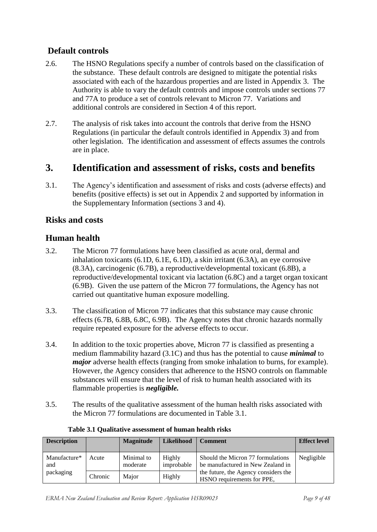### **Default controls**

- 2.6. The HSNO Regulations specify a number of controls based on the classification of the substance. These default controls are designed to mitigate the potential risks associated with each of the hazardous properties and are listed in Appendix 3. The Authority is able to vary the default controls and impose controls under sections 77 and 77A to produce a set of controls relevant to Micron 77. Variations and additional controls are considered in Section 4 of this report.
- 2.7. The analysis of risk takes into account the controls that derive from the HSNO Regulations (in particular the default controls identified in Appendix 3) and from other legislation. The identification and assessment of effects assumes the controls are in place.

### <span id="page-8-0"></span>**3. Identification and assessment of risks, costs and benefits**

3.1. The Agency"s identification and assessment of risks and costs (adverse effects) and benefits (positive effects) is set out in Appendix 2 and supported by information in the Supplementary Information (sections 3 and 4).

### **Risks and costs**

### **Human health**

- 3.2. The Micron 77 formulations have been classified as acute oral, dermal and inhalation toxicants (6.1D, 6.1E, 6.1D), a skin irritant (6.3A), an eye corrosive (8.3A), carcinogenic (6.7B), a reproductive/developmental toxicant (6.8B), a reproductive/developmental toxicant via lactation (6.8C) and a target organ toxicant (6.9B). Given the use pattern of the Micron 77 formulations, the Agency has not carried out quantitative human exposure modelling.
- 3.3. The classification of Micron 77 indicates that this substance may cause chronic effects (6.7B, 6.8B, 6.8C, 6.9B). The Agency notes that chronic hazards normally require repeated exposure for the adverse effects to occur.
- 3.4. In addition to the toxic properties above, Micron 77 is classified as presenting a medium flammability hazard (3.1C) and thus has the potential to cause *minimal* to *major* adverse health effects (ranging from smoke inhalation to burns, for example). However, the Agency considers that adherence to the HSNO controls on flammable substances will ensure that the level of risk to human health associated with its flammable properties is *negligible.*
- 3.5. The results of the qualitative assessment of the human health risks associated with the Micron 77 formulations are documented in Table 3.1.

| <b>Description</b>  |         | <b>Magnitude</b>       | <b>Likelihood</b>    | <b>Comment</b>                                                         | <b>Effect level</b> |
|---------------------|---------|------------------------|----------------------|------------------------------------------------------------------------|---------------------|
| Manufacture*<br>and | Acute   | Minimal to<br>moderate | Highly<br>improbable | Should the Micron 77 formulations<br>be manufactured in New Zealand in | Negligible          |
| packaging           | Chronic | Major                  | Highly               | the future, the Agency considers the<br>HSNO requirements for PPE,     |                     |

| Table 3.1 Qualitative assessment of human health risks |  |
|--------------------------------------------------------|--|
|--------------------------------------------------------|--|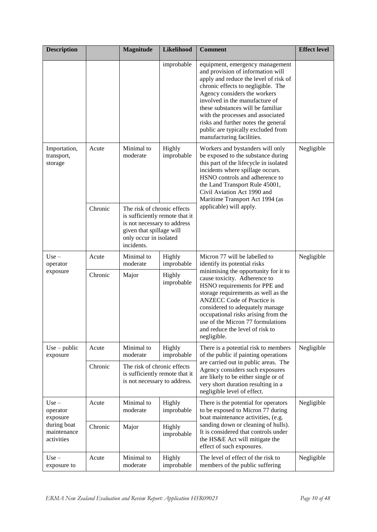| <b>Description</b>                       |         | <b>Magnitude</b>                                                                                                                                                 | <b>Likelihood</b>           | <b>Comment</b>                                                                                                                                                                                                                                                                                                                                                                                            | <b>Effect level</b> |
|------------------------------------------|---------|------------------------------------------------------------------------------------------------------------------------------------------------------------------|-----------------------------|-----------------------------------------------------------------------------------------------------------------------------------------------------------------------------------------------------------------------------------------------------------------------------------------------------------------------------------------------------------------------------------------------------------|---------------------|
|                                          |         |                                                                                                                                                                  | improbable                  | equipment, emergency management<br>and provision of information will<br>apply and reduce the level of risk of<br>chronic effects to negligible. The<br>Agency considers the workers<br>involved in the manufacture of<br>these substances will be familiar<br>with the processes and associated<br>risks and further notes the general<br>public are typically excluded from<br>manufacturing facilities. |                     |
| Importation,<br>transport,<br>storage    | Acute   | Minimal to<br>moderate                                                                                                                                           | Highly<br>improbable        | Workers and bystanders will only<br>be exposed to the substance during<br>this part of the lifecycle in isolated<br>incidents where spillage occurs.<br>HSNO controls and adherence to<br>the Land Transport Rule 45001,<br>Civil Aviation Act 1990 and<br>Maritime Transport Act 1994 (as                                                                                                                | Negligible          |
|                                          | Chronic | The risk of chronic effects<br>is sufficiently remote that it<br>is not necessary to address<br>given that spillage will<br>only occur in isolated<br>incidents. |                             | applicable) will apply.                                                                                                                                                                                                                                                                                                                                                                                   |                     |
| $Use -$<br>operator                      | Acute   | Minimal to<br>moderate                                                                                                                                           | Highly<br>improbable        | Micron 77 will be labelled to<br>identify its potential risks                                                                                                                                                                                                                                                                                                                                             | Negligible          |
| exposure                                 | Chronic | Major                                                                                                                                                            | <b>Highly</b><br>improbable | minimising the opportunity for it to<br>cause toxicity. Adherence to<br>HSNO requirements for PPE and<br>storage requirements as well as the<br><b>ANZECC</b> Code of Practice is<br>considered to adequately manage<br>occupational risks arising from the<br>use of the Micron 77 formulations<br>and reduce the level of risk to<br>negligible.                                                        |                     |
| $Use - public$<br>exposure               | Acute   | Minimal to<br>moderate                                                                                                                                           | Highly<br>improbable        | There is a potential risk to members<br>of the public if painting operations                                                                                                                                                                                                                                                                                                                              | Negligible          |
|                                          | Chronic | The risk of chronic effects<br>is sufficiently remote that it<br>is not necessary to address.                                                                    |                             | are carried out in public areas. The<br>Agency considers such exposures<br>are likely to be either single or of<br>very short duration resulting in a<br>negligible level of effect.                                                                                                                                                                                                                      |                     |
| $Use -$<br>operator<br>exposure          | Acute   | Minimal to<br>moderate                                                                                                                                           | Highly<br>improbable        | There is the potential for operators<br>to be exposed to Micron 77 during<br>boat maintenance activities, (e.g.                                                                                                                                                                                                                                                                                           | Negligible          |
| during boat<br>maintenance<br>activities | Chronic | Major                                                                                                                                                            | Highly<br>improbable        | sanding down or cleaning of hulls).<br>It is considered that controls under<br>the HS&E Act will mitigate the<br>effect of such exposures.                                                                                                                                                                                                                                                                |                     |
| $Use -$<br>exposure to                   | Acute   | Minimal to<br>moderate                                                                                                                                           | Highly<br>improbable        | The level of effect of the risk to<br>members of the public suffering                                                                                                                                                                                                                                                                                                                                     | Negligible          |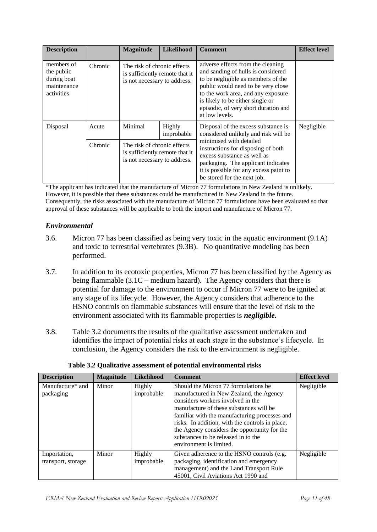| <b>Description</b>                                                   |         | <b>Magnitude</b>                                                                              | Likelihood                                                                                          | <b>Comment</b>                                                                                                                                                                                              | <b>Effect level</b> |                                                                                                                                                                                                                                                                                         |  |
|----------------------------------------------------------------------|---------|-----------------------------------------------------------------------------------------------|-----------------------------------------------------------------------------------------------------|-------------------------------------------------------------------------------------------------------------------------------------------------------------------------------------------------------------|---------------------|-----------------------------------------------------------------------------------------------------------------------------------------------------------------------------------------------------------------------------------------------------------------------------------------|--|
| members of<br>the public<br>during boat<br>maintenance<br>activities | Chronic | The risk of chronic effects<br>is sufficiently remote that it<br>is not necessary to address. |                                                                                                     |                                                                                                                                                                                                             |                     | adverse effects from the cleaning<br>and sanding of hulls is considered<br>to be negligible as members of the<br>public would need to be very close<br>to the work area, and any exposure<br>is likely to be either single or<br>episodic, of very short duration and<br>at low levels. |  |
| Disposal                                                             | Acute   | Minimal                                                                                       | Highly<br>Disposal of the excess substance is<br>improbable<br>considered unlikely and risk will be |                                                                                                                                                                                                             | Negligible          |                                                                                                                                                                                                                                                                                         |  |
|                                                                      | Chronic | The risk of chronic effects<br>is sufficiently remote that it<br>is not necessary to address. |                                                                                                     | minimised with detailed<br>instructions for disposing of both<br>excess substance as well as<br>packaging. The applicant indicates<br>it is possible for any excess paint to<br>be stored for the next job. |                     |                                                                                                                                                                                                                                                                                         |  |

\*The applicant has indicated that the manufacture of Micron 77 formulations in New Zealand is unlikely. However, it is possible that these substances could be manufactured in New Zealand in the future. Consequently, the risks associated with the manufacture of Micron 77 formulations have been evaluated so that approval of these substances will be applicable to both the import and manufacture of Micron 77.

### *Environmental*

- 3.6. Micron 77 has been classified as being very toxic in the aquatic environment (9.1A) and toxic to terrestrial vertebrates (9.3B). No quantitative modeling has been performed.
- 3.7. In addition to its ecotoxic properties, Micron 77 has been classified by the Agency as being flammable (3.1C – medium hazard). The Agency considers that there is potential for damage to the environment to occur if Micron 77 were to be ignited at any stage of its lifecycle. However, the Agency considers that adherence to the HSNO controls on flammable substances will ensure that the level of risk to the environment associated with its flammable properties is *negligible.*
- 3.8. Table 3.2 documents the results of the qualitative assessment undertaken and identifies the impact of potential risks at each stage in the substance"s lifecycle. In conclusion, the Agency considers the risk to the environment is negligible.

| <b>Description</b>                 | <b>Magnitude</b> | <b>Likelihood</b>    | <b>Comment</b>                                                                                                                                                                                                                                                                                                                                                                        | <b>Effect level</b> |
|------------------------------------|------------------|----------------------|---------------------------------------------------------------------------------------------------------------------------------------------------------------------------------------------------------------------------------------------------------------------------------------------------------------------------------------------------------------------------------------|---------------------|
| Manufacture* and<br>packaging      | Minor            | Highly<br>improbable | Should the Micron 77 formulations be<br>manufactured in New Zealand, the Agency<br>considers workers involved in the<br>manufacture of these substances will be<br>familiar with the manufacturing processes and<br>risks. In addition, with the controls in place,<br>the Agency considers the opportunity for the<br>substances to be released in to the<br>environment is limited. | Negligible          |
| Importation,<br>transport, storage | Minor            | Highly<br>improbable | Given adherence to the HSNO controls (e.g.<br>packaging, identification and emergency<br>management) and the Land Transport Rule<br>45001, Civil Aviations Act 1990 and                                                                                                                                                                                                               | Negligible          |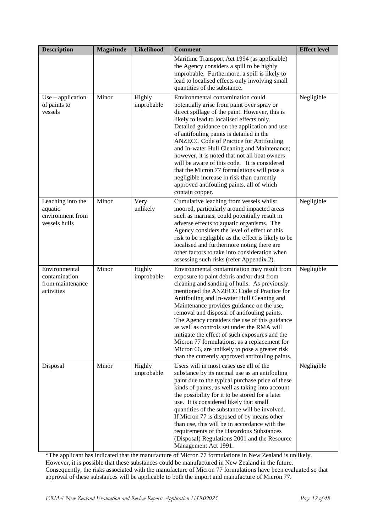| <b>Description</b>                                                | <b>Magnitude</b> | Likelihood           | <b>Comment</b>                                                                                                                                                                                                                                                                                                                                                                                                                                                                                                                                                                                                                            | <b>Effect level</b> |
|-------------------------------------------------------------------|------------------|----------------------|-------------------------------------------------------------------------------------------------------------------------------------------------------------------------------------------------------------------------------------------------------------------------------------------------------------------------------------------------------------------------------------------------------------------------------------------------------------------------------------------------------------------------------------------------------------------------------------------------------------------------------------------|---------------------|
|                                                                   |                  |                      | Maritime Transport Act 1994 (as applicable)<br>the Agency considers a spill to be highly<br>improbable. Furthermore, a spill is likely to<br>lead to localised effects only involving small<br>quantities of the substance.                                                                                                                                                                                                                                                                                                                                                                                                               |                     |
| $Use - application$<br>of paints to<br>vessels                    | Minor            | Highly<br>improbable | Environmental contamination could<br>potentially arise from paint over spray or<br>direct spillage of the paint. However, this is<br>likely to lead to localised effects only.<br>Detailed guidance on the application and use<br>of antifouling paints is detailed in the<br><b>ANZECC Code of Practice for Antifouling</b><br>and In-water Hull Cleaning and Maintenance;<br>however, it is noted that not all boat owners<br>will be aware of this code. It is considered<br>that the Micron 77 formulations will pose a<br>negligible increase in risk than currently<br>approved antifouling paints, all of which<br>contain copper. | Negligible          |
| Leaching into the<br>aquatic<br>environment from<br>vessels hulls | Minor            | Very<br>unlikely     | Cumulative leaching from vessels whilst<br>moored, particularly around impacted areas<br>such as marinas, could potentially result in<br>adverse effects to aquatic organisms. The<br>Agency considers the level of effect of this<br>risk to be negligible as the effect is likely to be<br>localised and furthermore noting there are<br>other factors to take into consideration when<br>assessing such risks (refer Appendix 2).                                                                                                                                                                                                      | Negligible          |
| Environmental<br>contamination<br>from maintenance<br>activities  | Minor            | Highly<br>improbable | Environmental contamination may result from<br>exposure to paint debris and/or dust from<br>cleaning and sanding of hulls. As previously<br>mentioned the ANZECC Code of Practice for<br>Antifouling and In-water Hull Cleaning and<br>Maintenance provides guidance on the use,<br>removal and disposal of antifouling paints.<br>The Agency considers the use of this guidance<br>as well as controls set under the RMA will<br>mitigate the effect of such exposures and the<br>Micron 77 formulations, as a replacement for<br>Micron 66, are unlikely to pose a greater risk<br>than the currently approved antifouling paints.      | Negligible          |
| Disposal                                                          | Minor            | Highly<br>improbable | Users will in most cases use all of the<br>substance by its normal use as an antifouling<br>paint due to the typical purchase price of these<br>kinds of paints, as well as taking into account<br>the possibility for it to be stored for a later<br>use. It is considered likely that small<br>quantities of the substance will be involved.<br>If Micron 77 is disposed of by means other<br>than use, this will be in accordance with the<br>requirements of the Hazardous Substances<br>(Disposal) Regulations 2001 and the Resource<br>Management Act 1991.                                                                         | Negligible          |

\*The applicant has indicated that the manufacture of Micron 77 formulations in New Zealand is unlikely. However, it is possible that these substances could be manufactured in New Zealand in the future. Consequently, the risks associated with the manufacture of Micron 77 formulations have been evaluated so that approval of these substances will be applicable to both the import and manufacture of Micron 77.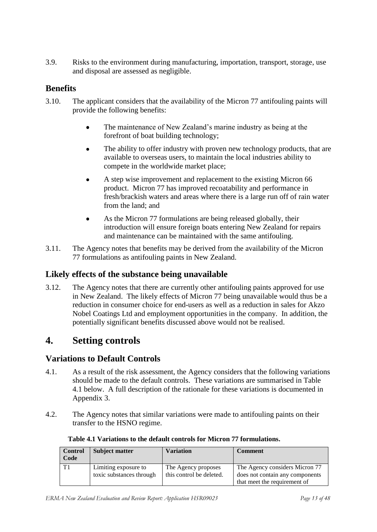3.9. Risks to the environment during manufacturing, importation, transport, storage, use and disposal are assessed as negligible.

### **Benefits**

- 3.10. The applicant considers that the availability of the Micron 77 antifouling paints will provide the following benefits:
	- The maintenance of New Zealand"s marine industry as being at the  $\bullet$ forefront of boat building technology;
	- The ability to offer industry with proven new technology products, that are  $\bullet$ available to overseas users, to maintain the local industries ability to compete in the worldwide market place;
	- A step wise improvement and replacement to the existing Micron 66 product. Micron 77 has improved recoatability and performance in fresh/brackish waters and areas where there is a large run off of rain water from the land; and
	- $\bullet$ As the Micron 77 formulations are being released globally, their introduction will ensure foreign boats entering New Zealand for repairs and maintenance can be maintained with the same antifouling.
- 3.11. The Agency notes that benefits may be derived from the availability of the Micron 77 formulations as antifouling paints in New Zealand.

### **Likely effects of the substance being unavailable**

3.12. The Agency notes that there are currently other antifouling paints approved for use in New Zealand. The likely effects of Micron 77 being unavailable would thus be a reduction in consumer choice for end-users as well as a reduction in sales for Akzo Nobel Coatings Ltd and employment opportunities in the company. In addition, the potentially significant benefits discussed above would not be realised.

### <span id="page-12-0"></span>**4. Setting controls**

### **Variations to Default Controls**

- 4.1. As a result of the risk assessment, the Agency considers that the following variations should be made to the default controls. These variations are summarised in Table 4.1 below. A full description of the rationale for these variations is documented in Appendix 3.
- 4.2. The Agency notes that similar variations were made to antifouling paints on their transfer to the HSNO regime.

| <b>Control</b><br>Code | <b>Subject matter</b>                            | Variation                                       | <b>Comment</b>                                                                                    |
|------------------------|--------------------------------------------------|-------------------------------------------------|---------------------------------------------------------------------------------------------------|
|                        | Limiting exposure to<br>toxic substances through | The Agency proposes<br>this control be deleted. | The Agency considers Micron 77<br>does not contain any components<br>that meet the requirement of |

#### **Table 4.1 Variations to the default controls for Micron 77 formulations.**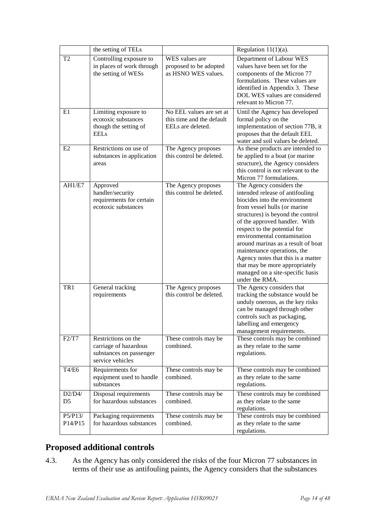|                          | the setting of TELs                                                                         |                                                                            | Regulation $11(1)(a)$ .                                                                                                                                                                                                                                                                                                                                                                                                                                              |
|--------------------------|---------------------------------------------------------------------------------------------|----------------------------------------------------------------------------|----------------------------------------------------------------------------------------------------------------------------------------------------------------------------------------------------------------------------------------------------------------------------------------------------------------------------------------------------------------------------------------------------------------------------------------------------------------------|
| T <sub>2</sub>           | Controlling exposure to<br>in places of work through<br>the setting of WESs                 | WES values are<br>proposed to be adopted<br>as HSNO WES values.            | Department of Labour WES<br>values have been set for the<br>components of the Micron 77<br>formulations. These values are<br>identified in Appendix 3. These<br>DOL WES values are considered<br>relevant to Micron 77.                                                                                                                                                                                                                                              |
| E1                       | Limiting exposure to<br>ecotoxic substances<br>though the setting of<br><b>EELs</b>         | No EEL values are set at<br>this time and the default<br>EELs are deleted. | Until the Agency has developed<br>formal policy on the<br>implementation of section 77B, it<br>proposes that the default EEL<br>water and soil values be deleted.                                                                                                                                                                                                                                                                                                    |
| E2                       | Restrictions on use of<br>substances in application<br>areas                                | The Agency proposes<br>this control be deleted.                            | As these products are intended to<br>be applied to a boat (or marine<br>structure), the Agency considers<br>this control is not relevant to the<br>Micron 77 formulations.                                                                                                                                                                                                                                                                                           |
| AH1/E7                   | Approved<br>handler/security<br>requirements for certain<br>ecotoxic substances             | The Agency proposes<br>this control be deleted.                            | The Agency considers the<br>intended release of antifouling<br>biocides into the environment<br>from vessel hulls (or marine<br>structures) is beyond the control<br>of the approved handler. With<br>respect to the potential for<br>environmental contamination<br>around marinas as a result of boat<br>maintenance operations, the<br>Agency notes that this is a matter<br>that may be more appropriately<br>managed on a site-specific basis<br>under the RMA. |
| TR <sub>1</sub>          | General tracking<br>requirements                                                            | The Agency proposes<br>this control be deleted.                            | The Agency considers that<br>tracking the substance would be<br>unduly onerous, as the key risks<br>can be managed through other<br>controls such as packaging,<br>labelling and emergency<br>management requirements.                                                                                                                                                                                                                                               |
| F2/T7                    | Restrictions on the<br>carriage of hazardous<br>substances on passenger<br>service vehicles | These controls may be<br>combined.                                         | These controls may be combined<br>as they relate to the same<br>regulations.                                                                                                                                                                                                                                                                                                                                                                                         |
| T4/E6                    | Requirements for<br>equipment used to handle<br>substances                                  | These controls may be<br>combined.                                         | These controls may be combined<br>as they relate to the same<br>regulations.                                                                                                                                                                                                                                                                                                                                                                                         |
| D2/D4/<br>D <sub>5</sub> | Disposal requirements<br>for hazardous substances                                           | These controls may be<br>combined.                                         | These controls may be combined<br>as they relate to the same<br>regulations.                                                                                                                                                                                                                                                                                                                                                                                         |
| P5/P13/<br>P14/P15       | Packaging requirements<br>for hazardous substances                                          | These controls may be<br>combined.                                         | These controls may be combined<br>as they relate to the same<br>regulations.                                                                                                                                                                                                                                                                                                                                                                                         |

# **Proposed additional controls**

4.3. As the Agency has only considered the risks of the four Micron 77 substances in terms of their use as antifouling paints, the Agency considers that the substances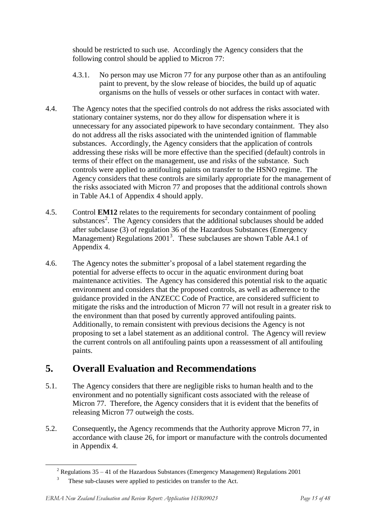should be restricted to such use. Accordingly the Agency considers that the following control should be applied to Micron 77:

- 4.3.1. No person may use Micron 77 for any purpose other than as an antifouling paint to prevent, by the slow release of biocides, the build up of aquatic organisms on the hulls of vessels or other surfaces in contact with water.
- 4.4. The Agency notes that the specified controls do not address the risks associated with stationary container systems, nor do they allow for dispensation where it is unnecessary for any associated pipework to have secondary containment. They also do not address all the risks associated with the unintended ignition of flammable substances. Accordingly, the Agency considers that the application of controls addressing these risks will be more effective than the specified (default) controls in terms of their effect on the management, use and risks of the substance. Such controls were applied to antifouling paints on transfer to the HSNO regime. The Agency considers that these controls are similarly appropriate for the management of the risks associated with Micron 77 and proposes that the additional controls shown in Table A4.1 of Appendix 4 should apply.
- 4.5. Control **EM12** relates to the requirements for secondary containment of pooling substances<sup>2</sup>. The Agency considers that the additional subclauses should be added after subclause (3) of regulation 36 of the Hazardous Substances (Emergency Management) Regulations  $2001<sup>3</sup>$ . These subclauses are shown Table A4.1 of Appendix 4.
- 4.6. The Agency notes the submitter"s proposal of a label statement regarding the potential for adverse effects to occur in the aquatic environment during boat maintenance activities. The Agency has considered this potential risk to the aquatic environment and considers that the proposed controls, as well as adherence to the guidance provided in the ANZECC Code of Practice, are considered sufficient to mitigate the risks and the introduction of Micron 77 will not result in a greater risk to the environment than that posed by currently approved antifouling paints. Additionally, to remain consistent with previous decisions the Agency is not proposing to set a label statement as an additional control. The Agency will review the current controls on all antifouling paints upon a reassessment of all antifouling paints.

# <span id="page-14-0"></span>**5. Overall Evaluation and Recommendations**

- 5.1. The Agency considers that there are negligible risks to human health and to the environment and no potentially significant costs associated with the release of Micron 77. Therefore, the Agency considers that it is evident that the benefits of releasing Micron 77 outweigh the costs.
- 5.2. Consequently**,** the Agency recommends that the Authority approve Micron 77, in accordance with clause 26, for import or manufacture with the controls documented in Appendix 4.

1

 $2$  Regulations 35 – 41 of the Hazardous Substances (Emergency Management) Regulations 2001

<sup>&</sup>lt;sup>3</sup> These sub-clauses were applied to pesticides on transfer to the Act.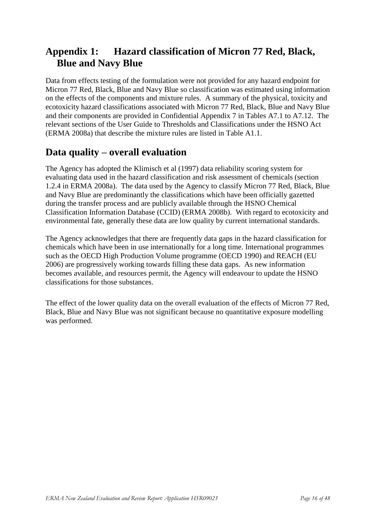# <span id="page-15-0"></span>**Appendix 1: Hazard classification of Micron 77 Red, Black, Blue and Navy Blue**

Data from effects testing of the formulation were not provided for any hazard endpoint for Micron 77 Red, Black, Blue and Navy Blue so classification was estimated using information on the effects of the components and mixture rules. A summary of the physical, toxicity and ecotoxicity hazard classifications associated with Micron 77 Red, Black, Blue and Navy Blue and their components are provided in Confidential Appendix 7 in Tables A7.1 to A7.12. The relevant sections of the User Guide to Thresholds and Classifications under the HSNO Act (ERMA 2008a) that describe the mixture rules are listed in Table A1.1.

# **Data quality – overall evaluation**

The Agency has adopted the Klimisch et al (1997) data reliability scoring system for evaluating data used in the hazard classification and risk assessment of chemicals (section 1.2.4 in ERMA 2008a). The data used by the Agency to classify Micron 77 Red, Black, Blue and Navy Blue are predominantly the classifications which have been officially gazetted during the transfer process and are publicly available through the HSNO Chemical Classification Information Database (CCID) (ERMA 2008b). With regard to ecotoxicity and environmental fate, generally these data are low quality by current international standards.

The Agency acknowledges that there are frequently data gaps in the hazard classification for chemicals which have been in use internationally for a long time. International programmes such as the OECD High Production Volume programme (OECD 1990) and REACH (EU 2006) are progressively working towards filling these data gaps. As new information becomes available, and resources permit, the Agency will endeavour to update the HSNO classifications for those substances.

The effect of the lower quality data on the overall evaluation of the effects of Micron 77 Red, Black, Blue and Navy Blue was not significant because no quantitative exposure modelling was performed.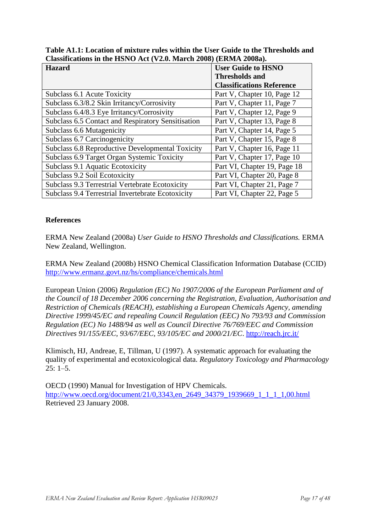| <b>Hazard</b>                                      | <b>User Guide to HSNO</b>        |
|----------------------------------------------------|----------------------------------|
|                                                    | <b>Thresholds and</b>            |
|                                                    | <b>Classifications Reference</b> |
| Subclass 6.1 Acute Toxicity                        | Part V, Chapter 10, Page 12      |
| Subclass 6.3/8.2 Skin Irritancy/Corrosivity        | Part V, Chapter 11, Page 7       |
| Subclass 6.4/8.3 Eye Irritancy/Corrosivity         | Part V, Chapter 12, Page 9       |
| Subclass 6.5 Contact and Respiratory Sensitisation | Part V, Chapter 13, Page 8       |
| Subclass 6.6 Mutagenicity                          | Part V, Chapter 14, Page 5       |
| Subclass 6.7 Carcinogenicity                       | Part V, Chapter 15, Page 8       |
| Subclass 6.8 Reproductive Developmental Toxicity   | Part V, Chapter 16, Page 11      |
| Subclass 6.9 Target Organ Systemic Toxicity        | Part V, Chapter 17, Page 10      |
| Subclass 9.1 Aquatic Ecotoxicity                   | Part VI, Chapter 19, Page 18     |
| Subclass 9.2 Soil Ecotoxicity                      | Part VI, Chapter 20, Page 8      |
| Subclass 9.3 Terrestrial Vertebrate Ecotoxicity    | Part VI, Chapter 21, Page 7      |
| Subclass 9.4 Terrestrial Invertebrate Ecotoxicity  | Part VI, Chapter 22, Page 5      |

**Table A1.1: Location of mixture rules within the User Guide to the Thresholds and Classifications in the HSNO Act (V2.0. March 2008) (ERMA 2008a).**

#### **References**

ERMA New Zealand (2008a) *User Guide to HSNO Thresholds and Classifications.* ERMA New Zealand, Wellington.

ERMA New Zealand (2008b) HSNO Chemical Classification Information Database (CCID) <http://www.ermanz.govt.nz/hs/compliance/chemicals.html>

European Union (2006) *Regulation (EC) No 1907/2006 of the European Parliament and of the Council of 18 December 2006 concerning the Registration, Evaluation, Authorisation and Restriction of Chemicals (REACH), establishing a European Chemicals Agency, amending Directive 1999/45/EC and repealing Council Regulation (EEC) No 793/93 and Commission Regulation (EC) No 1488/94 as well as Council Directive 76/769/EEC and Commission Directives 91/155/EEC, 93/67/EEC, 93/105/EC and 2000/21/EC*.<http://reach.jrc.it/>

Klimisch, HJ, Andreae, E, Tillman, U (1997). A systematic approach for evaluating the quality of experimental and ecotoxicological data. *Regulatory Toxicology and Pharmacology*  $25: 1 - 5.$ 

OECD (1990) Manual for Investigation of HPV Chemicals. [http://www.oecd.org/document/21/0,3343,en\\_2649\\_34379\\_1939669\\_1\\_1\\_1\\_1,00.html](http://www.oecd.org/document/21/0,3343,en_2649_34379_1939669_1_1_1_1,00.html) Retrieved 23 January 2008.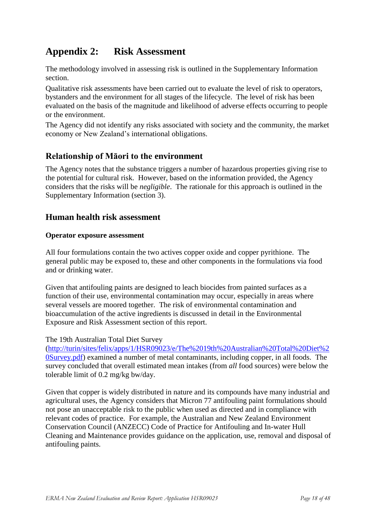# <span id="page-17-0"></span>**Appendix 2: Risk Assessment**

The methodology involved in assessing risk is outlined in the Supplementary Information section.

Qualitative risk assessments have been carried out to evaluate the level of risk to operators, bystanders and the environment for all stages of the lifecycle. The level of risk has been evaluated on the basis of the magnitude and likelihood of adverse effects occurring to people or the environment.

The Agency did not identify any risks associated with society and the community, the market economy or New Zealand"s international obligations.

### **Relationship of Māori to the environment**

The Agency notes that the substance triggers a number of hazardous properties giving rise to the potential for cultural risk. However, based on the information provided, the Agency considers that the risks will be *negligible*. The rationale for this approach is outlined in the Supplementary Information (section 3).

### **Human health risk assessment**

#### **Operator exposure assessment**

All four formulations contain the two actives copper oxide and copper pyrithione. The general public may be exposed to, these and other components in the formulations via food and or drinking water.

Given that antifouling paints are designed to leach biocides from painted surfaces as a function of their use, environmental contamination may occur, especially in areas where several vessels are moored together. The risk of environmental contamination and bioaccumulation of the active ingredients is discussed in detail in the Environmental Exposure and Risk Assessment section of this report.

#### The 19th Australian Total Diet Survey

[\(http://turin/sites/felix/apps/1/HSR09023/e/The%2019th%20Australian%20Total%20Diet%2](The%2019th%20Australian%20Total%20Diet%20Survey.pdf) [0Survey.pdf\)](The%2019th%20Australian%20Total%20Diet%20Survey.pdf) examined a number of metal contaminants, including copper, in all foods. The survey concluded that overall estimated mean intakes (from *all* food sources) were below the tolerable limit of 0.2 mg/kg bw/day.

Given that copper is widely distributed in nature and its compounds have many industrial and agricultural uses, the Agency considers that Micron 77 antifouling paint formulations should not pose an unacceptable risk to the public when used as directed and in compliance with relevant codes of practice. For example, the Australian and New Zealand Environment Conservation Council (ANZECC) Code of Practice for Antifouling and In-water Hull Cleaning and Maintenance provides guidance on the application, use, removal and disposal of antifouling paints.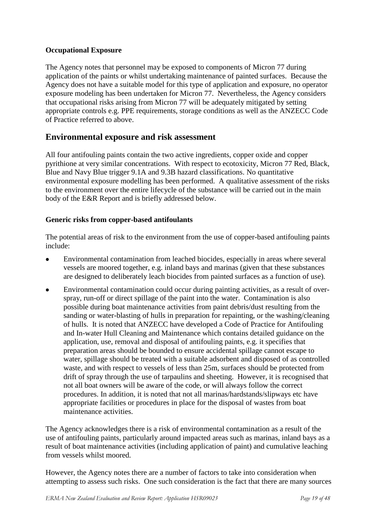### **Occupational Exposure**

The Agency notes that personnel may be exposed to components of Micron 77 during application of the paints or whilst undertaking maintenance of painted surfaces. Because the Agency does not have a suitable model for this type of application and exposure, no operator exposure modeling has been undertaken for Micron 77. Nevertheless, the Agency considers that occupational risks arising from Micron 77 will be adequately mitigated by setting appropriate controls e.g. PPE requirements, storage conditions as well as the ANZECC Code of Practice referred to above.

### **Environmental exposure and risk assessment**

All four antifouling paints contain the two active ingredients, copper oxide and copper pyrithione at very similar concentrations. With respect to ecotoxicity, Micron 77 Red, Black, Blue and Navy Blue trigger 9.1A and 9.3B hazard classifications. No quantitative environmental exposure modelling has been performed. A qualitative assessment of the risks to the environment over the entire lifecycle of the substance will be carried out in the main body of the E&R Report and is briefly addressed below.

#### **Generic risks from copper-based antifoulants**

The potential areas of risk to the environment from the use of copper-based antifouling paints include:

- Environmental contamination from leached biocides, especially in areas where several vessels are moored together, e.g. inland bays and marinas (given that these substances are designed to deliberately leach biocides from painted surfaces as a function of use).
- Environmental contamination could occur during painting activities, as a result of over- $\bullet$ spray, run-off or direct spillage of the paint into the water. Contamination is also possible during boat maintenance activities from paint debris/dust resulting from the sanding or water-blasting of hulls in preparation for repainting, or the washing/cleaning of hulls. It is noted that ANZECC have developed a Code of Practice for Antifouling and In-water Hull Cleaning and Maintenance which contains detailed guidance on the application, use, removal and disposal of antifouling paints, e.g. it specifies that preparation areas should be bounded to ensure accidental spillage cannot escape to water, spillage should be treated with a suitable adsorbent and disposed of as controlled waste, and with respect to vessels of less than 25m, surfaces should be protected from drift of spray through the use of tarpaulins and sheeting. However, it is recognised that not all boat owners will be aware of the code, or will always follow the correct procedures. In addition, it is noted that not all marinas/hardstands/slipways etc have appropriate facilities or procedures in place for the disposal of wastes from boat maintenance activities.

The Agency acknowledges there is a risk of environmental contamination as a result of the use of antifouling paints, particularly around impacted areas such as marinas, inland bays as a result of boat maintenance activities (including application of paint) and cumulative leaching from vessels whilst moored.

However, the Agency notes there are a number of factors to take into consideration when attempting to assess such risks. One such consideration is the fact that there are many sources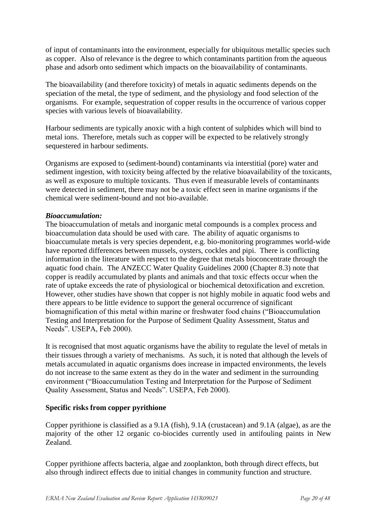of input of contaminants into the environment, especially for ubiquitous metallic species such as copper. Also of relevance is the degree to which contaminants partition from the aqueous phase and adsorb onto sediment which impacts on the bioavailability of contaminants.

The bioavailability (and therefore toxicity) of metals in aquatic sediments depends on the speciation of the metal, the type of sediment, and the physiology and food selection of the organisms. For example, sequestration of copper results in the occurrence of various copper species with various levels of bioavailability.

Harbour sediments are typically anoxic with a high content of sulphides which will bind to metal ions. Therefore, metals such as copper will be expected to be relatively strongly sequestered in harbour sediments.

Organisms are exposed to (sediment-bound) contaminants via interstitial (pore) water and sediment ingestion, with toxicity being affected by the relative bioavailability of the toxicants, as well as exposure to multiple toxicants. Thus even if measurable levels of contaminants were detected in sediment, there may not be a toxic effect seen in marine organisms if the chemical were sediment-bound and not bio-available.

#### *Bioaccumulation:*

The bioaccumulation of metals and inorganic metal compounds is a complex process and bioaccumulation data should be used with care. The ability of aquatic organisms to bioaccumulate metals is very species dependent, e.g. bio-monitoring programmes world-wide have reported differences between mussels, oysters, cockles and pipi. There is conflicting information in the literature with respect to the degree that metals bioconcentrate through the aquatic food chain. The ANZECC Water Quality Guidelines 2000 (Chapter 8.3) note that copper is readily accumulated by plants and animals and that toxic effects occur when the rate of uptake exceeds the rate of physiological or biochemical detoxification and excretion. However, other studies have shown that copper is not highly mobile in aquatic food webs and there appears to be little evidence to support the general occurrence of significant biomagnification of this metal within marine or freshwater food chains ("Bioaccumulation Testing and Interpretation for the Purpose of Sediment Quality Assessment, Status and Needs". USEPA, Feb 2000).

It is recognised that most aquatic organisms have the ability to regulate the level of metals in their tissues through a variety of mechanisms. As such, it is noted that although the levels of metals accumulated in aquatic organisms does increase in impacted environments, the levels do not increase to the same extent as they do in the water and sediment in the surrounding environment ("Bioaccumulation Testing and Interpretation for the Purpose of Sediment Quality Assessment, Status and Needs". USEPA, Feb 2000).

#### **Specific risks from copper pyrithione**

Copper pyrithione is classified as a 9.1A (fish), 9.1A (crustacean) and 9.1A (algae), as are the majority of the other 12 organic co-biocides currently used in antifouling paints in New Zealand.

Copper pyrithione affects bacteria, algae and zooplankton, both through direct effects, but also through indirect effects due to initial changes in community function and structure.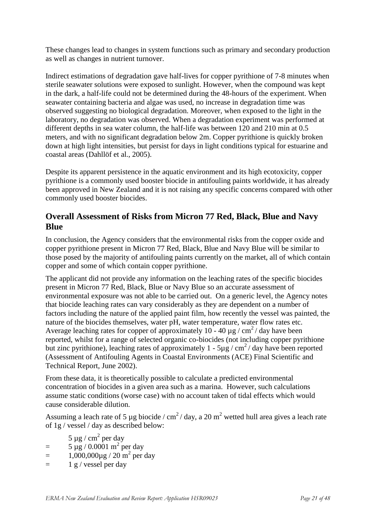These changes lead to changes in system functions such as primary and secondary production as well as changes in nutrient turnover.

Indirect estimations of degradation gave half-lives for copper pyrithione of 7-8 minutes when sterile seawater solutions were exposed to sunlight. However, when the compound was kept in the dark, a half-life could not be determined during the 48-hours of the experiment. When seawater containing bacteria and algae was used, no increase in degradation time was observed suggesting no biological degradation. Moreover, when exposed to the light in the laboratory, no degradation was observed. When a degradation experiment was performed at different depths in sea water column, the half-life was between 120 and 210 min at 0.5 meters, and with no significant degradation below 2m. Copper pyrithione is quickly broken down at high light intensities, but persist for days in light conditions typical for estuarine and coastal areas (Dahllöf et al., 2005).

Despite its apparent persistence in the aquatic environment and its high ecotoxicity, copper pyrithione is a commonly used booster biocide in antifouling paints worldwide, it has already been approved in New Zealand and it is not raising any specific concerns compared with other commonly used booster biocides.

### **Overall Assessment of Risks from Micron 77 Red, Black, Blue and Navy Blue**

In conclusion, the Agency considers that the environmental risks from the copper oxide and copper pyrithione present in Micron 77 Red, Black, Blue and Navy Blue will be similar to those posed by the majority of antifouling paints currently on the market, all of which contain copper and some of which contain copper pyrithione.

The applicant did not provide any information on the leaching rates of the specific biocides present in Micron 77 Red, Black, Blue or Navy Blue so an accurate assessment of environmental exposure was not able to be carried out. On a generic level, the Agency notes that biocide leaching rates can vary considerably as they are dependent on a number of factors including the nature of the applied paint film, how recently the vessel was painted, the nature of the biocides themselves, water pH, water temperature, water flow rates etc. Average leaching rates for copper of approximately 10 - 40  $\mu$ g / cm<sup>2</sup> / day have been reported, whilst for a range of selected organic co-biocides (not including copper pyrithione but zinc pyrithione), leaching rates of approximately 1 -  $5\mu$ g / cm<sup>2</sup>/ day have been reported (Assessment of Antifouling Agents in Coastal Environments (ACE) Final Scientific and Technical Report, June 2002).

From these data, it is theoretically possible to calculate a predicted environmental concentration of biocides in a given area such as a marina. However, such calculations assume static conditions (worse case) with no account taken of tidal effects which would cause considerable dilution.

Assuming a leach rate of 5 µg biocide /  $\text{cm}^2$ / day, a 20 m<sup>2</sup> wetted hull area gives a leach rate of 1g / vessel / day as described below:

 $5 \mu g / \text{cm}^2$  per day

- $= 5 \mu g / 0.0001 \text{ m}^2 \text{ per day}$
- $=$  1,000,000 $\mu$ g / 20 m<sup>2</sup> per day
- $=$  1 g / vessel per day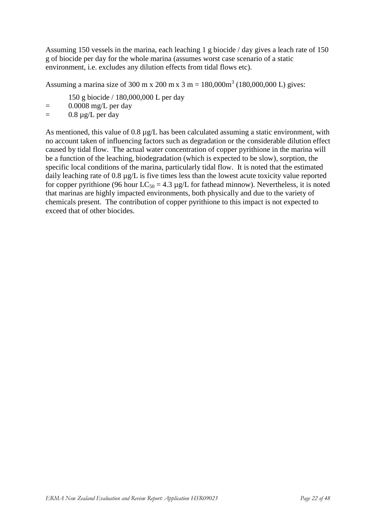Assuming 150 vessels in the marina, each leaching 1 g biocide / day gives a leach rate of 150 g of biocide per day for the whole marina (assumes worst case scenario of a static environment, i.e. excludes any dilution effects from tidal flows etc).

Assuming a marina size of 300 m x 200 m x 3 m =  $180,000\text{m}^3$  (180,000,000 L) gives:

150 g biocide / 180,000,000 L per day

- $=$  0.0008 mg/L per day
- $=$  0.8  $\mu$ g/L per day

As mentioned, this value of 0.8  $\mu$ g/L has been calculated assuming a static environment, with no account taken of influencing factors such as degradation or the considerable dilution effect caused by tidal flow. The actual water concentration of copper pyrithione in the marina will be a function of the leaching, biodegradation (which is expected to be slow), sorption, the specific local conditions of the marina, particularly tidal flow. It is noted that the estimated daily leaching rate of 0.8 µg/L is five times less than the lowest acute toxicity value reported for copper pyrithione (96 hour  $LC_{50} = 4.3 \mu g/L$  for fathead minnow). Nevertheless, it is noted that marinas are highly impacted environments, both physically and due to the variety of chemicals present. The contribution of copper pyrithione to this impact is not expected to exceed that of other biocides.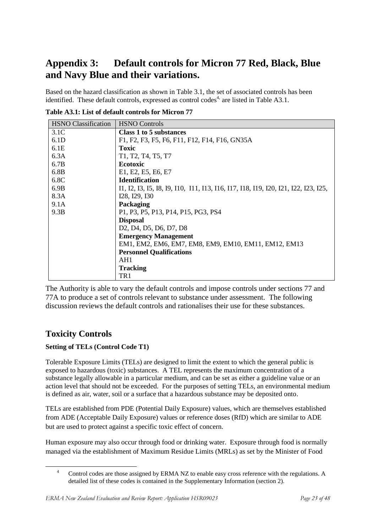# <span id="page-22-0"></span>**Appendix 3: Default controls for Micron 77 Red, Black, Blue and Navy Blue and their variations.**

Based on the hazard classification as shown in Table 3.1, the set of associated controls has been identified. These default controls, expressed as control codes<sup>4,</sup> are listed in Table A3.1.

| <b>HSNO</b> Classification | <b>HSNO</b> Controls                                                                                |
|----------------------------|-----------------------------------------------------------------------------------------------------|
| 3.1 <sub>C</sub>           | <b>Class 1 to 5 substances</b>                                                                      |
| 6.1D                       | F1, F2, F3, F5, F6, F11, F12, F14, F16, GN35A                                                       |
| 6.1E                       | Toxic                                                                                               |
| 6.3A                       | T1, T2, T4, T5, T7                                                                                  |
| 6.7B                       | <b>Ecotoxic</b>                                                                                     |
| 6.8B                       | E1, E2, E5, E6, E7                                                                                  |
| 6.8C                       | <b>Identification</b>                                                                               |
| 6.9B                       | 11, 12, 13, 15, 18, 19, 110, 111, 113, 116, 117, 118, 119, 120, 121, 122, 123, 125,                 |
| 8.3A                       | I28, I29, I30                                                                                       |
| 9.1A                       | Packaging                                                                                           |
| 9.3B                       | P1, P3, P5, P13, P14, P15, PG3, PS4                                                                 |
|                            | <b>Disposal</b>                                                                                     |
|                            | D <sub>2</sub> , D <sub>4</sub> , D <sub>5</sub> , D <sub>6</sub> , D <sub>7</sub> , D <sub>8</sub> |
|                            | <b>Emergency Management</b>                                                                         |
|                            | EM1, EM2, EM6, EM7, EM8, EM9, EM10, EM11, EM12, EM13                                                |
|                            | <b>Personnel Qualifications</b>                                                                     |
|                            | AH1                                                                                                 |
|                            | <b>Tracking</b>                                                                                     |
|                            | TR1                                                                                                 |

**Table A3.1: List of default controls for Micron 77**

The Authority is able to vary the default controls and impose controls under sections 77 and 77A to produce a set of controls relevant to substance under assessment. The following discussion reviews the default controls and rationalises their use for these substances.

### **Toxicity Controls**

1

### **Setting of TELs (Control Code T1)**

Tolerable Exposure Limits (TELs) are designed to limit the extent to which the general public is exposed to hazardous (toxic) substances. A TEL represents the maximum concentration of a substance legally allowable in a particular medium, and can be set as either a guideline value or an action level that should not be exceeded. For the purposes of setting TELs, an environmental medium is defined as air, water, soil or a surface that a hazardous substance may be deposited onto.

TELs are established from PDE (Potential Daily Exposure) values, which are themselves established from ADE (Acceptable Daily Exposure) values or reference doses (RfD) which are similar to ADE but are used to protect against a specific toxic effect of concern.

Human exposure may also occur through food or drinking water. Exposure through food is normally managed via the establishment of Maximum Residue Limits (MRLs) as set by the Minister of Food

<sup>&</sup>lt;sup>4</sup> Control codes are those assigned by ERMA NZ to enable easy cross reference with the regulations. A detailed list of these codes is contained in the Supplementary Information (section 2).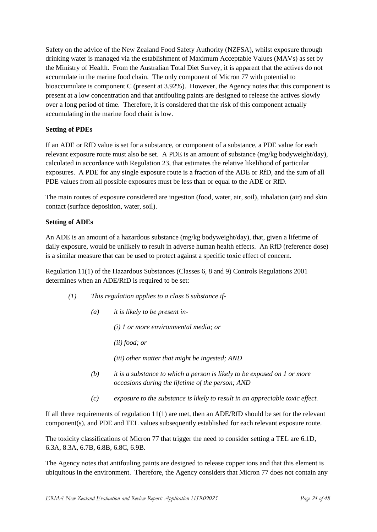Safety on the advice of the New Zealand Food Safety Authority (NZFSA), whilst exposure through drinking water is managed via the establishment of Maximum Acceptable Values (MAVs) as set by the Ministry of Health. From the Australian Total Diet Survey, it is apparent that the actives do not accumulate in the marine food chain. The only component of Micron 77 with potential to bioaccumulate is component C (present at 3.92%). However, the Agency notes that this component is present at a low concentration and that antifouling paints are designed to release the actives slowly over a long period of time. Therefore, it is considered that the risk of this component actually accumulating in the marine food chain is low.

#### **Setting of PDEs**

If an ADE or RfD value is set for a substance, or component of a substance, a PDE value for each relevant exposure route must also be set. A PDE is an amount of substance (mg/kg bodyweight/day), calculated in accordance with Regulation 23, that estimates the relative likelihood of particular exposures. A PDE for any single exposure route is a fraction of the ADE or RfD, and the sum of all PDE values from all possible exposures must be less than or equal to the ADE or RfD.

The main routes of exposure considered are ingestion (food, water, air, soil), inhalation (air) and skin contact (surface deposition, water, soil).

#### **Setting of ADEs**

An ADE is an amount of a hazardous substance (mg/kg bodyweight/day), that, given a lifetime of daily exposure, would be unlikely to result in adverse human health effects. An RfD (reference dose) is a similar measure that can be used to protect against a specific toxic effect of concern.

Regulation 11(1) of the Hazardous Substances (Classes 6, 8 and 9) Controls Regulations 2001 determines when an ADE/RfD is required to be set:

- *(1) This regulation applies to a class 6 substance if-*
	- *(a) it is likely to be present in-*

*(i) 1 or more environmental media; or*

*(ii) food; or*

*(iii) other matter that might be ingested; AND*

- *(b) it is a substance to which a person is likely to be exposed on 1 or more occasions during the lifetime of the person; AND*
- *(c) exposure to the substance is likely to result in an appreciable toxic effect.*

If all three requirements of regulation 11(1) are met, then an ADE/RfD should be set for the relevant component(s), and PDE and TEL values subsequently established for each relevant exposure route.

The toxicity classifications of Micron 77 that trigger the need to consider setting a TEL are 6.1D, 6.3A, 8.3A, 6.7B, 6.8B, 6.8C, 6.9B.

The Agency notes that antifouling paints are designed to release copper ions and that this element is ubiquitous in the environment. Therefore, the Agency considers that Micron 77 does not contain any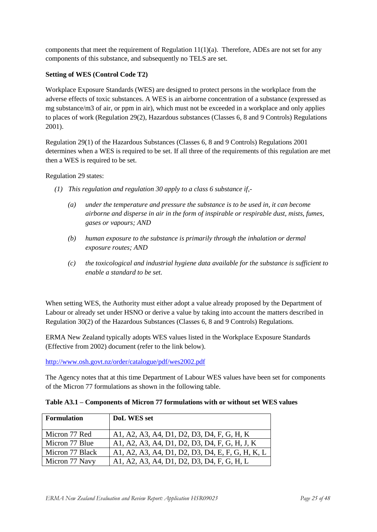components that meet the requirement of Regulation  $11(1)(a)$ . Therefore, ADEs are not set for any components of this substance, and subsequently no TELS are set.

#### **Setting of WES (Control Code T2)**

Workplace Exposure Standards (WES) are designed to protect persons in the workplace from the adverse effects of toxic substances. A WES is an airborne concentration of a substance (expressed as mg substance/m3 of air, or ppm in air), which must not be exceeded in a workplace and only applies to places of work (Regulation 29(2), Hazardous substances (Classes 6, 8 and 9 Controls) Regulations 2001).

Regulation 29(1) of the Hazardous Substances (Classes 6, 8 and 9 Controls) Regulations 2001 determines when a WES is required to be set. If all three of the requirements of this regulation are met then a WES is required to be set.

Regulation 29 states:

- *(1) This regulation and regulation 30 apply to a class 6 substance if,-*
	- *(a) under the temperature and pressure the substance is to be used in, it can become airborne and disperse in air in the form of inspirable or respirable dust, mists, fumes, gases or vapours; AND*
	- *(b) human exposure to the substance is primarily through the inhalation or dermal exposure routes; AND*
	- *(c) the toxicological and industrial hygiene data available for the substance is sufficient to enable a standard to be set.*

When setting WES, the Authority must either adopt a value already proposed by the Department of Labour or already set under HSNO or derive a value by taking into account the matters described in Regulation 30(2) of the Hazardous Substances (Classes 6, 8 and 9 Controls) Regulations.

ERMA New Zealand typically adopts WES values listed in the Workplace Exposure Standards (Effective from 2002) document (refer to the link below).

<http://www.osh.govt.nz/order/catalogue/pdf/wes2002.pdf>

The Agency notes that at this time Department of Labour WES values have been set for components of the Micron 77 formulations as shown in the following table.

| <b>Formulation</b> | <b>DoL WES set</b>                               |
|--------------------|--------------------------------------------------|
| Micron 77 Red      | A1, A2, A3, A4, D1, D2, D3, D4, F, G, H, K       |
| Micron 77 Blue     | A1, A2, A3, A4, D1, D2, D3, D4, F, G, H, J, K    |
| Micron 77 Black    | A1, A2, A3, A4, D1, D2, D3, D4, E, F, G, H, K, L |
| Micron 77 Navy     | A1, A2, A3, A4, D1, D2, D3, D4, F, G, H, L       |

**Table A3.1 – Components of Micron 77 formulations with or without set WES values**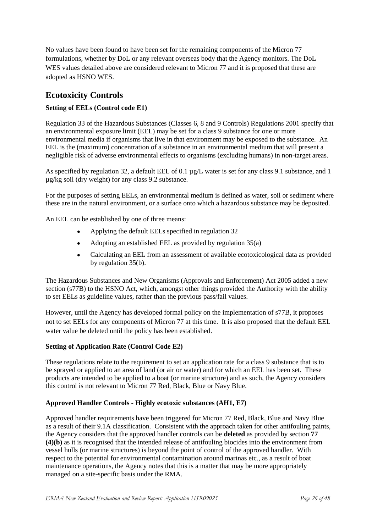No values have been found to have been set for the remaining components of the Micron 77 formulations, whether by DoL or any relevant overseas body that the Agency monitors. The DoL WES values detailed above are considered relevant to Micron 77 and it is proposed that these are adopted as HSNO WES.

### **Ecotoxicity Controls**

#### **Setting of EELs (Control code E1)**

Regulation 33 of the Hazardous Substances (Classes 6, 8 and 9 Controls) Regulations 2001 specify that an environmental exposure limit (EEL) may be set for a class 9 substance for one or more environmental media if organisms that live in that environment may be exposed to the substance. An EEL is the (maximum) concentration of a substance in an environmental medium that will present a negligible risk of adverse environmental effects to organisms (excluding humans) in non-target areas.

As specified by regulation 32, a default EEL of 0.1  $\mu$ g/L water is set for any class 9.1 substance, and 1 µg/kg soil (dry weight) for any class 9.2 substance.

For the purposes of setting EELs, an environmental medium is defined as water, soil or sediment where these are in the natural environment, or a surface onto which a hazardous substance may be deposited.

An EEL can be established by one of three means:

- Applying the default EELs specified in regulation 32  $\bullet$
- Adopting an established EEL as provided by regulation 35(a)  $\bullet$
- Calculating an EEL from an assessment of available ecotoxicological data as provided  $\bullet$ by regulation 35(b).

The Hazardous Substances and New Organisms (Approvals and Enforcement) Act 2005 added a new section (s77B) to the HSNO Act, which, amongst other things provided the Authority with the ability to set EELs as guideline values, rather than the previous pass/fail values.

However, until the Agency has developed formal policy on the implementation of s77B, it proposes not to set EELs for any components of Micron 77 at this time. It is also proposed that the default EEL water value be deleted until the policy has been established.

#### **Setting of Application Rate (Control Code E2)**

These regulations relate to the requirement to set an application rate for a class 9 substance that is to be sprayed or applied to an area of land (or air or water) and for which an EEL has been set. These products are intended to be applied to a boat (or marine structure) and as such, the Agency considers this control is not relevant to Micron 77 Red, Black, Blue or Navy Blue.

#### **Approved Handler Controls - Highly ecotoxic substances (AH1, E7)**

Approved handler requirements have been triggered for Micron 77 Red, Black, Blue and Navy Blue as a result of their 9.1A classification. Consistent with the approach taken for other antifouling paints, the Agency considers that the approved handler controls can be **deleted** as provided by section **77 (4)(b)** as it is recognised that the intended release of antifouling biocides into the environment from vessel hulls (or marine structures) is beyond the point of control of the approved handler. With respect to the potential for environmental contamination around marinas etc., as a result of boat maintenance operations, the Agency notes that this is a matter that may be more appropriately managed on a site-specific basis under the RMA.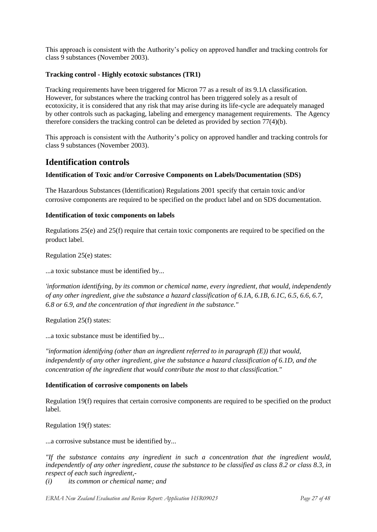This approach is consistent with the Authority"s policy on approved handler and tracking controls for class 9 substances (November 2003).

#### **Tracking control - Highly ecotoxic substances (TR1)**

Tracking requirements have been triggered for Micron 77 as a result of its 9.1A classification. However, for substances where the tracking control has been triggered solely as a result of ecotoxicity, it is considered that any risk that may arise during its life-cycle are adequately managed by other controls such as packaging, labeling and emergency management requirements. The Agency therefore considers the tracking control can be deleted as provided by section 77(4)(b).

This approach is consistent with the Authority"s policy on approved handler and tracking controls for class 9 substances (November 2003).

### **Identification controls**

#### **Identification of Toxic and/or Corrosive Components on Labels/Documentation (SDS)**

The Hazardous Substances (Identification) Regulations 2001 specify that certain toxic and/or corrosive components are required to be specified on the product label and on SDS documentation.

#### **Identification of toxic components on labels**

Regulations 25(e) and 25(f) require that certain toxic components are required to be specified on the product label.

Regulation 25(e) states:

...a toxic substance must be identified by...

*'information identifying, by its common or chemical name, every ingredient, that would, independently of any other ingredient, give the substance a hazard classification of 6.1A, 6.1B, 6.1C, 6.5, 6.6, 6.7, 6.8 or 6.9, and the concentration of that ingredient in the substance."*

Regulation 25(f) states:

...a toxic substance must be identified by...

*"information identifying (other than an ingredient referred to in paragraph (E)) that would, independently of any other ingredient, give the substance a hazard classification of 6.1D, and the concentration of the ingredient that would contribute the most to that classification."*

#### **Identification of corrosive components on labels**

Regulation 19(f) requires that certain corrosive components are required to be specified on the product label.

Regulation 19(f) states:

...a corrosive substance must be identified by...

*"If the substance contains any ingredient in such a concentration that the ingredient would, independently of any other ingredient, cause the substance to be classified as class 8.2 or class 8.3, in respect of each such ingredient,-*

*(i) its common or chemical name; and*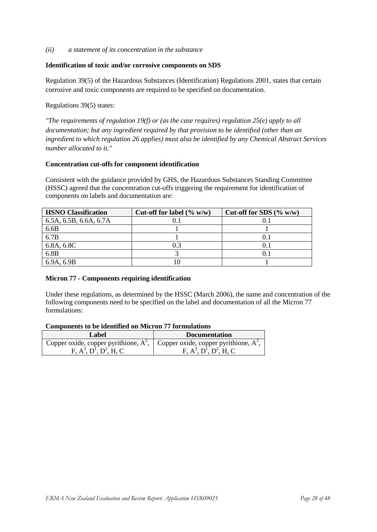*(ii) a statement of its concentration in the substance*

#### **Identification of toxic and/or corrosive components on SDS**

Regulation 39(5) of the Hazardous Substances (Identification) Regulations 2001, states that certain corrosive and toxic components are required to be specified on documentation.

Regulations 39(5) states:

*"The requirements of regulation 19(f) or (as the case requires) regulation 25(e) apply to all documentation; but any ingredient required by that provision to be identified (other than an ingredient to which regulation 26 applies) must also be identified by any Chemical Abstract Services number allocated to it."*

#### **Concentration cut-offs for component identification**

Consistent with the guidance provided by GHS, the Hazardous Substances Standing Committee (HSSC) agreed that the concentration cut-offs triggering the requirement for identification of components on labels and documentation are:

| <b>HSNO</b> Classification | Cut-off for label $(\% w/w)$ | Cut-off for SDS $(\% w/w)$ |
|----------------------------|------------------------------|----------------------------|
| 6.5A, 6.5B, 6.6A, 6.7A     |                              |                            |
| 6.6B                       |                              |                            |
| 6.7B                       |                              |                            |
| 6.8A, 6.8C                 | 0.3                          | 0.1                        |
| 6.8B                       |                              |                            |
| 6.9A, 6.9B                 |                              |                            |

#### **Micron 77 - Components requiring identification**

Under these regulations, as determined by the HSSC (March 2006), the name and concentration of the following components need to be specified on the label and documentation of all the Micron 77 formulations:

#### **Components to be identified on Micron 77 formulations**

| Label                                                                             | <b>Documentation</b>  |
|-----------------------------------------------------------------------------------|-----------------------|
| Copper oxide, copper pyrithione, $A^2$ , Copper oxide, copper pyrithione, $A^2$ , |                       |
| $F. A^3. D^1. D^2. H. C$                                                          | $F. A3. D1. D2. H. C$ |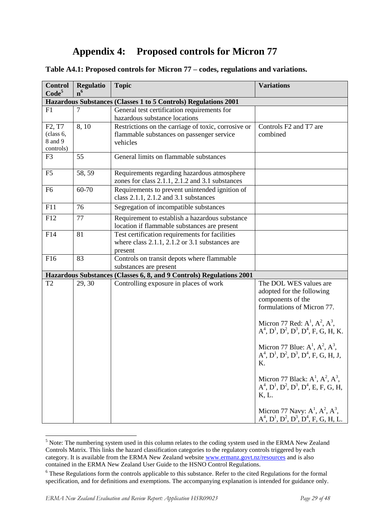# **Appendix 4: Proposed controls for Micron 77**

#### <span id="page-28-0"></span>**Table A4.1: Proposed controls for Micron 77 – codes, regulations and variations.**

| <b>Control</b>                                                       | <b>Regulatio</b> | <b>Topic</b>                                                                                                       | <b>Variations</b>                                                                                                                                                                                                                                                                                                                                                                                                           |
|----------------------------------------------------------------------|------------------|--------------------------------------------------------------------------------------------------------------------|-----------------------------------------------------------------------------------------------------------------------------------------------------------------------------------------------------------------------------------------------------------------------------------------------------------------------------------------------------------------------------------------------------------------------------|
| Code <sup>5</sup>                                                    | n <sup>6</sup>   | Hazardous Substances (Classes 1 to 5 Controls) Regulations 2001                                                    |                                                                                                                                                                                                                                                                                                                                                                                                                             |
| F1                                                                   | 7                | General test certification requirements for<br>hazardous substance locations                                       |                                                                                                                                                                                                                                                                                                                                                                                                                             |
| F <sub>2</sub> , T <sub>7</sub><br>(class 6,<br>8 and 9<br>controls) | 8,10             | Restrictions on the carriage of toxic, corrosive or<br>flammable substances on passenger service<br>vehicles       | Controls F2 and T7 are<br>combined                                                                                                                                                                                                                                                                                                                                                                                          |
| F <sub>3</sub>                                                       | 55               | General limits on flammable substances                                                                             |                                                                                                                                                                                                                                                                                                                                                                                                                             |
| F <sub>5</sub>                                                       | 58, 59           | Requirements regarding hazardous atmosphere<br>zones for class 2.1.1, 2.1.2 and 3.1 substances                     |                                                                                                                                                                                                                                                                                                                                                                                                                             |
| F <sub>6</sub>                                                       | 60-70            | Requirements to prevent unintended ignition of<br>class 2.1.1, 2.1.2 and 3.1 substances                            |                                                                                                                                                                                                                                                                                                                                                                                                                             |
| F11                                                                  | 76               | Segregation of incompatible substances                                                                             |                                                                                                                                                                                                                                                                                                                                                                                                                             |
| F12                                                                  | 77               | Requirement to establish a hazardous substance<br>location if flammable substances are present                     |                                                                                                                                                                                                                                                                                                                                                                                                                             |
| F14                                                                  | 81               | Test certification requirements for facilities<br>where class $2.1.1$ , $2.1.2$ or $3.1$ substances are<br>present |                                                                                                                                                                                                                                                                                                                                                                                                                             |
| F16                                                                  | 83               | Controls on transit depots where flammable<br>substances are present                                               |                                                                                                                                                                                                                                                                                                                                                                                                                             |
|                                                                      |                  | Hazardous Substances (Classes 6, 8, and 9 Controls) Regulations 2001                                               |                                                                                                                                                                                                                                                                                                                                                                                                                             |
| T <sub>2</sub>                                                       | 29, 30           | Controlling exposure in places of work                                                                             | The DOL WES values are<br>adopted for the following<br>components of the<br>formulations of Micron 77.<br>Micron 77 Red: $A^1$ , $A^2$ , $A^3$ ,<br>$A^4$ , $D^1$ , $D^2$ , $D^3$ , $D^4$ , F, G, H, K.<br>Micron 77 Blue: $A^1$ , $A^2$ , $A^3$ ,<br>$A^4$ , $D^1$ , $D^2$ , $D^3$ , $D^4$ , F, G, H, J,<br>Κ.<br>Micron 77 Black: $A^1$ , $A^2$ , $A^3$ ,<br>$A^4$ , $D^1$ , $D^2$ , $D^3$ , $D^4$ , E, F, G, H,<br>K, L. |
|                                                                      |                  |                                                                                                                    | Micron 77 Navy: $A^1$ , $A^2$ , $A^3$ ,<br>$A^4$ , $D^1$ , $D^2$ , $D^3$ , $D^4$ , F, G, H, L.                                                                                                                                                                                                                                                                                                                              |

 $<sup>5</sup>$  Note: The numbering system used in this column relates to the coding system used in the ERMA New Zealand</sup> Controls Matrix. This links the hazard classification categories to the regulatory controls triggered by each category. It is available from the ERMA New Zealand website [www.ermanz.govt.nz/resources](http://www.ermanz.govt.nz/resources) and is also contained in the ERMA New Zealand User Guide to the HSNO Control Regulations.

1

<sup>&</sup>lt;sup>6</sup> These Regulations form the controls applicable to this substance. Refer to the cited Regulations for the formal specification, and for definitions and exemptions. The accompanying explanation is intended for guidance only.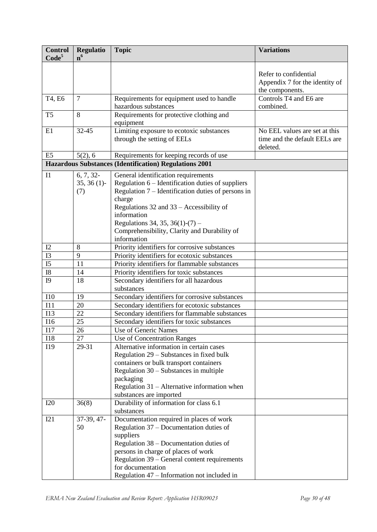| <b>Control</b><br>Code <sup>5</sup> | <b>Regulatio</b><br>n <sup>6</sup> | <b>Topic</b>                                                                                  | <b>Variations</b>              |
|-------------------------------------|------------------------------------|-----------------------------------------------------------------------------------------------|--------------------------------|
|                                     |                                    |                                                                                               |                                |
|                                     |                                    |                                                                                               | Refer to confidential          |
|                                     |                                    |                                                                                               | Appendix 7 for the identity of |
|                                     |                                    |                                                                                               | the components.                |
| T4, E6                              | $\overline{7}$                     | Requirements for equipment used to handle                                                     | Controls T4 and E6 are         |
|                                     |                                    | hazardous substances                                                                          | combined.                      |
| T <sub>5</sub>                      | 8                                  | Requirements for protective clothing and<br>equipment                                         |                                |
| E1                                  | $32 - 45$                          | Limiting exposure to ecotoxic substances                                                      | No EEL values are set at this  |
|                                     |                                    | through the setting of EELs                                                                   | time and the default EELs are  |
|                                     |                                    |                                                                                               | deleted.                       |
| E <sub>5</sub>                      | 5(2), 6                            | Requirements for keeping records of use                                                       |                                |
|                                     |                                    | <b>Hazardous Substances (Identification) Regulations 2001</b>                                 |                                |
| I1                                  | 6, 7, 32                           | General identification requirements                                                           |                                |
|                                     | $35, 36(1)$ -                      | Regulation 6 – Identification duties of suppliers                                             |                                |
|                                     | (7)                                | Regulation 7 – Identification duties of persons in                                            |                                |
|                                     |                                    | charge                                                                                        |                                |
|                                     |                                    | Regulations $32$ and $33 -$ Accessibility of                                                  |                                |
|                                     |                                    | information                                                                                   |                                |
|                                     |                                    | Regulations 34, 35, 36(1)-(7) –                                                               |                                |
|                                     |                                    | Comprehensibility, Clarity and Durability of                                                  |                                |
|                                     |                                    | information                                                                                   |                                |
| I2<br>I3                            | 8<br>9                             | Priority identifiers for corrosive substances<br>Priority identifiers for ecotoxic substances |                                |
| I <sub>5</sub>                      | 11                                 | Priority identifiers for flammable substances                                                 |                                |
| <b>I8</b>                           | 14                                 | Priority identifiers for toxic substances                                                     |                                |
| <b>I9</b>                           | 18                                 | Secondary identifiers for all hazardous                                                       |                                |
|                                     |                                    | substances                                                                                    |                                |
| I10                                 | 19                                 | Secondary identifiers for corrosive substances                                                |                                |
| I11                                 | 20                                 | Secondary identifiers for ecotoxic substances                                                 |                                |
| I13                                 | 22                                 | Secondary identifiers for flammable substances                                                |                                |
| I16                                 | 25                                 | Secondary identifiers for toxic substances                                                    |                                |
| I17                                 | 26                                 | <b>Use of Generic Names</b>                                                                   |                                |
| <b>I18</b>                          | 27                                 | Use of Concentration Ranges                                                                   |                                |
| I19                                 | 29-31                              | Alternative information in certain cases                                                      |                                |
|                                     |                                    | Regulation 29 – Substances in fixed bulk                                                      |                                |
|                                     |                                    | containers or bulk transport containers                                                       |                                |
|                                     |                                    | Regulation $30 -$ Substances in multiple                                                      |                                |
|                                     |                                    | packaging                                                                                     |                                |
|                                     |                                    | Regulation 31 – Alternative information when                                                  |                                |
|                                     |                                    | substances are imported                                                                       |                                |
| <b>I20</b>                          | 36(8)                              | Durability of information for class 6.1                                                       |                                |
|                                     |                                    | substances                                                                                    |                                |
| I21                                 | 37-39, 47-                         | Documentation required in places of work                                                      |                                |
|                                     | 50                                 | Regulation 37 – Documentation duties of                                                       |                                |
|                                     |                                    | suppliers                                                                                     |                                |
|                                     |                                    | Regulation 38 – Documentation duties of<br>persons in charge of places of work                |                                |
|                                     |                                    | Regulation 39 – General content requirements                                                  |                                |
|                                     |                                    | for documentation                                                                             |                                |
|                                     |                                    | Regulation 47 – Information not included in                                                   |                                |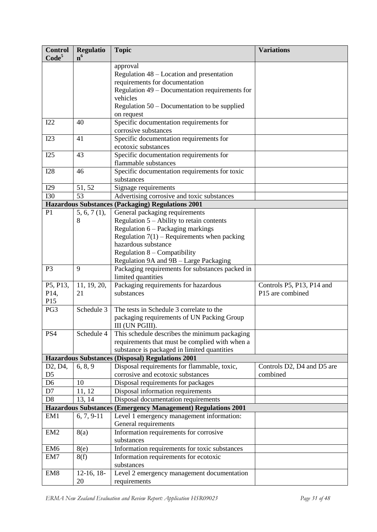| <b>Control</b><br>Code <sup>5</sup> | <b>Regulatio</b><br>n <sup>6</sup>                                  | <b>Topic</b>                                                                     | <b>Variations</b>                      |  |  |
|-------------------------------------|---------------------------------------------------------------------|----------------------------------------------------------------------------------|----------------------------------------|--|--|
|                                     |                                                                     | approval                                                                         |                                        |  |  |
|                                     |                                                                     | Regulation 48 – Location and presentation                                        |                                        |  |  |
|                                     |                                                                     | requirements for documentation                                                   |                                        |  |  |
|                                     |                                                                     | Regulation 49 – Documentation requirements for                                   |                                        |  |  |
|                                     |                                                                     | vehicles                                                                         |                                        |  |  |
|                                     |                                                                     | Regulation $50 -$ Documentation to be supplied                                   |                                        |  |  |
|                                     |                                                                     | on request                                                                       |                                        |  |  |
| I22                                 | 40                                                                  | Specific documentation requirements for                                          |                                        |  |  |
|                                     |                                                                     | corrosive substances                                                             |                                        |  |  |
| I23                                 | 41                                                                  | Specific documentation requirements for                                          |                                        |  |  |
|                                     |                                                                     | ecotoxic substances                                                              |                                        |  |  |
| I25                                 | 43                                                                  | Specific documentation requirements for                                          |                                        |  |  |
|                                     |                                                                     | flammable substances                                                             |                                        |  |  |
| <b>I28</b>                          | 46                                                                  | Specific documentation requirements for toxic                                    |                                        |  |  |
|                                     |                                                                     | substances                                                                       |                                        |  |  |
| I29                                 | 51, 52                                                              | Signage requirements                                                             |                                        |  |  |
| <b>I30</b>                          | 53                                                                  | Advertising corrosive and toxic substances                                       |                                        |  |  |
|                                     |                                                                     | <b>Hazardous Substances (Packaging) Regulations 2001</b>                         |                                        |  |  |
| P <sub>1</sub>                      | 5, 6, 7(1),                                                         | General packaging requirements                                                   |                                        |  |  |
|                                     | 8                                                                   | Regulation $5 -$ Ability to retain contents                                      |                                        |  |  |
|                                     |                                                                     | Regulation 6 – Packaging markings                                                |                                        |  |  |
|                                     |                                                                     | Regulation $7(1)$ – Requirements when packing                                    |                                        |  |  |
|                                     |                                                                     | hazardous substance                                                              |                                        |  |  |
|                                     |                                                                     | Regulation $8$ – Compatibility                                                   |                                        |  |  |
|                                     |                                                                     | Regulation 9A and 9B - Large Packaging                                           |                                        |  |  |
| P <sub>3</sub>                      | 9                                                                   | Packaging requirements for substances packed in<br>limited quantities            |                                        |  |  |
| P5, P13,                            | 11, 19, 20,                                                         | Packaging requirements for hazardous                                             | Controls P5, P13, P14 and              |  |  |
| P <sub>14</sub> ,                   | 21                                                                  | substances                                                                       | P15 are combined                       |  |  |
| P15                                 |                                                                     |                                                                                  |                                        |  |  |
| PG3                                 | Schedule 3                                                          | The tests in Schedule 3 correlate to the                                         |                                        |  |  |
|                                     |                                                                     | packaging requirements of UN Packing Group                                       |                                        |  |  |
|                                     |                                                                     | III (UN PGIII).                                                                  |                                        |  |  |
| PS4                                 | Schedule 4                                                          | This schedule describes the minimum packaging                                    |                                        |  |  |
|                                     |                                                                     | requirements that must be complied with when a                                   |                                        |  |  |
|                                     |                                                                     | substance is packaged in limited quantities                                      |                                        |  |  |
|                                     |                                                                     | Hazardous Substances (Disposal) Regulations 2001                                 |                                        |  |  |
| D2, D4,<br>D <sub>5</sub>           | 6, 8, 9                                                             | Disposal requirements for flammable, toxic,<br>corrosive and ecotoxic substances | Controls D2, D4 and D5 are<br>combined |  |  |
| D <sub>6</sub>                      | 10                                                                  | Disposal requirements for packages                                               |                                        |  |  |
| D7                                  | 11, 12                                                              | Disposal information requirements                                                |                                        |  |  |
| D <sub>8</sub>                      | 13, 14                                                              | Disposal documentation requirements                                              |                                        |  |  |
|                                     | <b>Hazardous Substances (Emergency Management) Regulations 2001</b> |                                                                                  |                                        |  |  |
| EM1                                 | $6, 7, 9-11$                                                        | Level 1 emergency management information:                                        |                                        |  |  |
|                                     |                                                                     | General requirements                                                             |                                        |  |  |
| EM <sub>2</sub>                     | 8(a)                                                                | Information requirements for corrosive                                           |                                        |  |  |
|                                     |                                                                     | substances                                                                       |                                        |  |  |
| EM <sub>6</sub>                     | 8(e)                                                                | Information requirements for toxic substances                                    |                                        |  |  |
| EM7                                 | 8(f)                                                                | Information requirements for ecotoxic                                            |                                        |  |  |
|                                     |                                                                     | substances                                                                       |                                        |  |  |
| EM <sub>8</sub>                     | $12-16, 18-$                                                        | Level 2 emergency management documentation                                       |                                        |  |  |
|                                     | 20                                                                  | requirements                                                                     |                                        |  |  |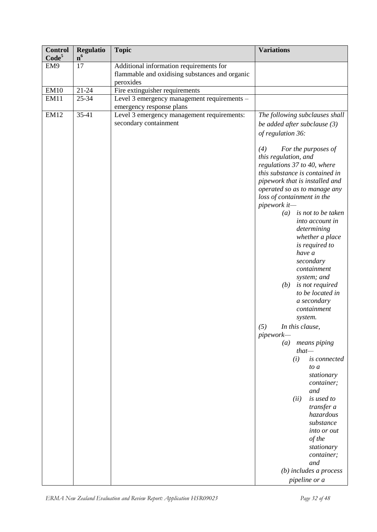| <b>Control</b><br>Code <sup>5</sup> | <b>Regulatio</b><br>n <sup>6</sup> | <b>Topic</b>                                                                                                                                   | <b>Variations</b>                                                                                                                                                                                                                                                                                                                                                                                                                                                                                                                                                                                                                                                                                                                                          |
|-------------------------------------|------------------------------------|------------------------------------------------------------------------------------------------------------------------------------------------|------------------------------------------------------------------------------------------------------------------------------------------------------------------------------------------------------------------------------------------------------------------------------------------------------------------------------------------------------------------------------------------------------------------------------------------------------------------------------------------------------------------------------------------------------------------------------------------------------------------------------------------------------------------------------------------------------------------------------------------------------------|
| EM9                                 | 17                                 | Additional information requirements for<br>flammable and oxidising substances and organic                                                      |                                                                                                                                                                                                                                                                                                                                                                                                                                                                                                                                                                                                                                                                                                                                                            |
| <b>EM10</b>                         | $21 - 24$                          | peroxides<br>Fire extinguisher requirements                                                                                                    |                                                                                                                                                                                                                                                                                                                                                                                                                                                                                                                                                                                                                                                                                                                                                            |
|                                     |                                    |                                                                                                                                                |                                                                                                                                                                                                                                                                                                                                                                                                                                                                                                                                                                                                                                                                                                                                                            |
|                                     |                                    |                                                                                                                                                |                                                                                                                                                                                                                                                                                                                                                                                                                                                                                                                                                                                                                                                                                                                                                            |
| <b>EM11</b><br><b>EM12</b>          | 25-34<br>35-41                     | Level 3 emergency management requirements -<br>emergency response plans<br>Level 3 emergency management requirements:<br>secondary containment | The following subclauses shall<br>be added after subclause $(3)$<br>of regulation 36:<br>For the purposes of<br>(4)<br>this regulation, and<br>regulations 37 to 40, where<br>this substance is contained in<br>pipework that is installed and<br>operated so as to manage any<br>loss of containment in the<br>pipework it-<br>is not to be taken<br>$\left(a\right)$<br>into account in<br>determining<br>whether a place<br>is required to<br>have a<br>secondary<br>containment<br>system; and<br>is not required<br>(b)<br>to be located in<br>a secondary<br>containment<br>system.<br>(5)<br>In this clause,<br>pipework-<br>(a)<br>means piping<br>$that-$<br>(i)<br>is connected<br>to a<br>stationary<br>container;<br>and<br>(ii)<br>is used to |
|                                     |                                    |                                                                                                                                                | transfer a<br>hazardous<br>substance                                                                                                                                                                                                                                                                                                                                                                                                                                                                                                                                                                                                                                                                                                                       |
|                                     |                                    |                                                                                                                                                | into or out<br>of the<br>stationary<br>container;                                                                                                                                                                                                                                                                                                                                                                                                                                                                                                                                                                                                                                                                                                          |
|                                     |                                    |                                                                                                                                                | and                                                                                                                                                                                                                                                                                                                                                                                                                                                                                                                                                                                                                                                                                                                                                        |
|                                     |                                    |                                                                                                                                                | $(b)$ includes a process                                                                                                                                                                                                                                                                                                                                                                                                                                                                                                                                                                                                                                                                                                                                   |
|                                     |                                    |                                                                                                                                                | pipeline or a                                                                                                                                                                                                                                                                                                                                                                                                                                                                                                                                                                                                                                                                                                                                              |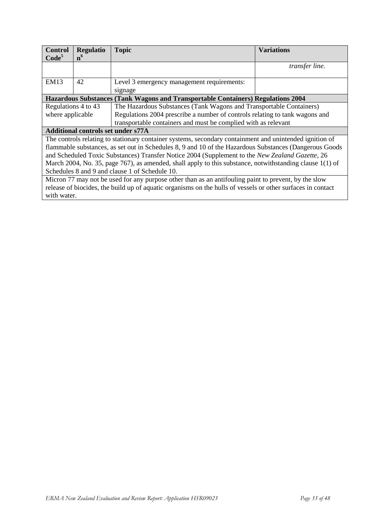| <b>Control</b>                                                                                              | <b>Regulatio</b>                                                                                         | <b>Topic</b>                                                                            | <b>Variations</b> |  |
|-------------------------------------------------------------------------------------------------------------|----------------------------------------------------------------------------------------------------------|-----------------------------------------------------------------------------------------|-------------------|--|
| Code <sup>5</sup>                                                                                           | n <sup>6</sup>                                                                                           |                                                                                         |                   |  |
|                                                                                                             |                                                                                                          |                                                                                         | transfer line.    |  |
|                                                                                                             |                                                                                                          |                                                                                         |                   |  |
| <b>EM13</b>                                                                                                 | 42                                                                                                       | Level 3 emergency management requirements:                                              |                   |  |
|                                                                                                             |                                                                                                          | signage                                                                                 |                   |  |
|                                                                                                             |                                                                                                          | <b>Hazardous Substances (Tank Wagons and Transportable Containers) Regulations 2004</b> |                   |  |
| Regulations 4 to 43                                                                                         |                                                                                                          | The Hazardous Substances (Tank Wagons and Transportable Containers)                     |                   |  |
| where applicable                                                                                            |                                                                                                          | Regulations 2004 prescribe a number of controls relating to tank wagons and             |                   |  |
|                                                                                                             |                                                                                                          | transportable containers and must be complied with as relevant                          |                   |  |
| <b>Additional controls set under s77A</b>                                                                   |                                                                                                          |                                                                                         |                   |  |
|                                                                                                             | The controls relating to stationary container systems, secondary containment and unintended ignition of  |                                                                                         |                   |  |
|                                                                                                             | flammable substances, as set out in Schedules 8, 9 and 10 of the Hazardous Substances (Dangerous Goods   |                                                                                         |                   |  |
|                                                                                                             | and Scheduled Toxic Substances) Transfer Notice 2004 (Supplement to the New Zealand Gazette, 26          |                                                                                         |                   |  |
|                                                                                                             | March 2004, No. 35, page 767), as amended, shall apply to this substance, notwithstanding clause 1(1) of |                                                                                         |                   |  |
|                                                                                                             | Schedules 8 and 9 and clause 1 of Schedule 10.                                                           |                                                                                         |                   |  |
| Micron 77 may not be used for any purpose other than as an antifouling paint to prevent, by the slow        |                                                                                                          |                                                                                         |                   |  |
| release of biocides, the build up of aquatic organisms on the hulls of vessels or other surfaces in contact |                                                                                                          |                                                                                         |                   |  |
|                                                                                                             | with water.                                                                                              |                                                                                         |                   |  |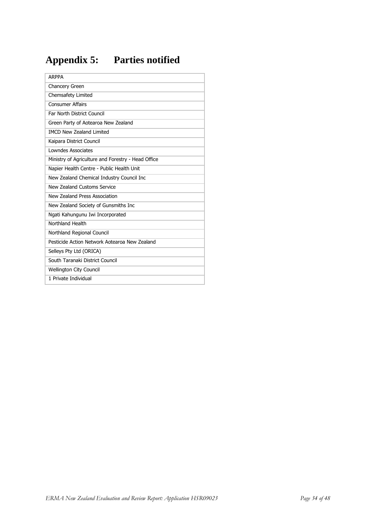# <span id="page-33-0"></span>**Appendix 5: Parties notified**

| <b>ARPPA</b>                                       |
|----------------------------------------------------|
| Chancery Green                                     |
| Chemsafety Limited                                 |
| <b>Consumer Affairs</b>                            |
| Far North District Council                         |
| Green Party of Aotearoa New Zealand                |
| <b>IMCD New Zealand Limited</b>                    |
| Kaipara District Council                           |
| Lowndes Associates                                 |
| Ministry of Agriculture and Forestry - Head Office |
| Napier Health Centre - Public Health Unit          |
| New Zealand Chemical Industry Council Inc          |
| New Zealand Customs Service                        |
| New Zealand Press Association                      |
| New Zealand Society of Gunsmiths Inc               |
| Ngati Kahungunu Iwi Incorporated                   |
| Northland Health                                   |
| Northland Regional Council                         |
| Pesticide Action Network Aotearoa New Zealand      |
| Selleys Pty Ltd (ORICA)                            |
| South Taranaki District Council                    |
| <b>Wellington City Council</b>                     |
| 1 Private Individual                               |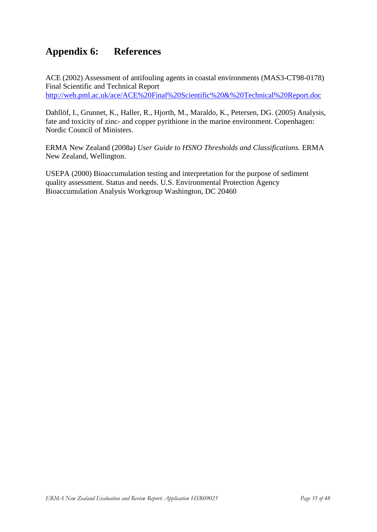# <span id="page-34-0"></span>**Appendix 6: References**

ACE (2002) Assessment of antifouling agents in coastal environments (MAS3-CT98-0178) Final Scientific and Technical Report <http://web.pml.ac.uk/ace/ACE%20Final%20Scientific%20&%20Technical%20Report.doc>

Dahllöf, I., Grunnet, K., Haller, R., Hjorth, M., Maraldo, K., Petersen, DG. (2005) Analysis, fate and toxicity of zinc- and copper pyrithione in the marine environment. Copenhagen: Nordic Council of Ministers.

ERMA New Zealand (2008a) *User Guide to HSNO Thresholds and Classifications.* ERMA New Zealand, Wellington.

USEPA (2000) Bioaccumulation testing and interpretation for the purpose of sediment quality assessment. Status and needs. U.S. Environmental Protection Agency Bioaccumulation Analysis Workgroup Washington, DC 20460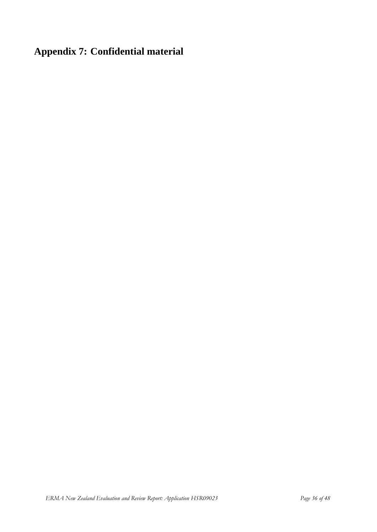# <span id="page-35-0"></span>**Appendix 7: Confidential material**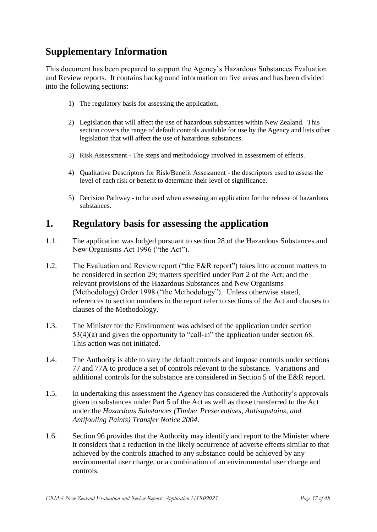# <span id="page-36-0"></span>**Supplementary Information**

This document has been prepared to support the Agency"s Hazardous Substances Evaluation and Review reports. It contains background information on five areas and has been divided into the following sections:

- 1) The regulatory basis for assessing the application.
- 2) Legislation that will affect the use of hazardous substances within New Zealand. This section covers the range of default controls available for use by the Agency and lists other legislation that will affect the use of hazardous substances.
- 3) Risk Assessment The steps and methodology involved in assessment of effects.
- 4) Qualitative Descriptors for Risk/Benefit Assessment the descriptors used to assess the level of each risk or benefit to determine their level of significance.
- 5) Decision Pathway to be used when assessing an application for the release of hazardous substances.

### <span id="page-36-1"></span>**1. Regulatory basis for assessing the application**

- 1.1. The application was lodged pursuant to section 28 of the Hazardous Substances and New Organisms Act 1996 ("the Act").
- 1.2. The Evaluation and Review report ("the E&R report") takes into account matters to be considered in section 29; matters specified under Part 2 of the Act; and the relevant provisions of the Hazardous Substances and New Organisms (Methodology) Order 1998 ("the Methodology"). Unless otherwise stated, references to section numbers in the report refer to sections of the Act and clauses to clauses of the Methodology.
- 1.3. The Minister for the Environment was advised of the application under section 53(4)(a) and given the opportunity to "call-in" the application under section 68. This action was not initiated.
- 1.4. The Authority is able to vary the default controls and impose controls under sections 77 and 77A to produce a set of controls relevant to the substance. Variations and additional controls for the substance are considered in Section 5 of the E&R report.
- 1.5. In undertaking this assessment the Agency has considered the Authority"s approvals given to substances under Part 5 of the Act as well as those transferred to the Act under the *Hazardous Substances (Timber Preservatives, Antisapstains, and Antifouling Paints) Transfer Notice 2004*.
- 1.6. Section 96 provides that the Authority may identify and report to the Minister where it considers that a reduction in the likely occurrence of adverse effects similar to that achieved by the controls attached to any substance could be achieved by any environmental user charge, or a combination of an environmental user charge and controls.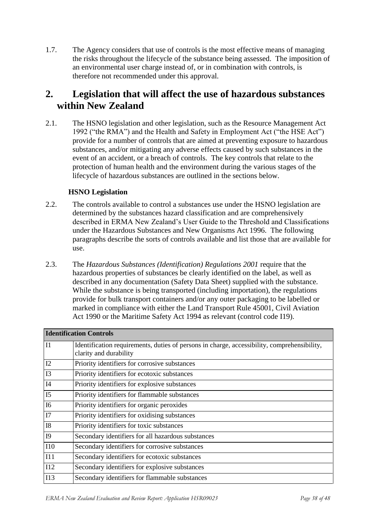1.7. The Agency considers that use of controls is the most effective means of managing the risks throughout the lifecycle of the substance being assessed. The imposition of an environmental user charge instead of, or in combination with controls, is therefore not recommended under this approval.

# <span id="page-37-0"></span>**2. Legislation that will affect the use of hazardous substances within New Zealand**

2.1. The HSNO legislation and other legislation, such as the Resource Management Act 1992 ("the RMA") and the Health and Safety in Employment Act ("the HSE Act") provide for a number of controls that are aimed at preventing exposure to hazardous substances, and/or mitigating any adverse effects caused by such substances in the event of an accident, or a breach of controls. The key controls that relate to the protection of human health and the environment during the various stages of the lifecycle of hazardous substances are outlined in the sections below.

### **HSNO Legislation**

- 2.2. The controls available to control a substances use under the HSNO legislation are determined by the substances hazard classification and are comprehensively described in ERMA New Zealand"s User Guide to the Threshold and Classifications under the Hazardous Substances and New Organisms Act 1996. The following paragraphs describe the sorts of controls available and list those that are available for use.
- 2.3. The *Hazardous Substances (Identification) Regulations 2001* require that the hazardous properties of substances be clearly identified on the label, as well as described in any documentation (Safety Data Sheet) supplied with the substance. While the substance is being transported (including importation), the regulations provide for bulk transport containers and/or any outer packaging to be labelled or marked in compliance with either the Land Transport Rule 45001, Civil Aviation Act 1990 or the Maritime Safety Act 1994 as relevant (control code I19).

| <b>Identification Controls</b> |                                                                                                                       |
|--------------------------------|-----------------------------------------------------------------------------------------------------------------------|
| I1                             | Identification requirements, duties of persons in charge, accessibility, comprehensibility,<br>clarity and durability |
| I2                             | Priority identifiers for corrosive substances                                                                         |
| I3                             | Priority identifiers for ecotoxic substances                                                                          |
| I4                             | Priority identifiers for explosive substances                                                                         |
| I <sub>5</sub>                 | Priority identifiers for flammable substances                                                                         |
| I <sub>6</sub>                 | Priority identifiers for organic peroxides                                                                            |
| I7                             | Priority identifiers for oxidising substances                                                                         |
| <b>I8</b>                      | Priority identifiers for toxic substances                                                                             |
| I <sub>9</sub>                 | Secondary identifiers for all hazardous substances                                                                    |
| <b>I10</b>                     | Secondary identifiers for corrosive substances                                                                        |
| I11                            | Secondary identifiers for ecotoxic substances                                                                         |
| I12                            | Secondary identifiers for explosive substances                                                                        |
| I13                            | Secondary identifiers for flammable substances                                                                        |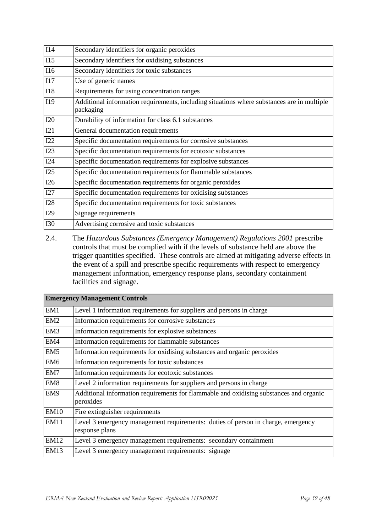| $\overline{114}$ | Secondary identifiers for organic peroxides                                                             |
|------------------|---------------------------------------------------------------------------------------------------------|
| I15              | Secondary identifiers for oxidising substances                                                          |
| <b>I16</b>       | Secondary identifiers for toxic substances                                                              |
| I17              | Use of generic names                                                                                    |
| <b>I18</b>       | Requirements for using concentration ranges                                                             |
| I19              | Additional information requirements, including situations where substances are in multiple<br>packaging |
| <b>I20</b>       | Durability of information for class 6.1 substances                                                      |
| I21              | General documentation requirements                                                                      |
| I22              | Specific documentation requirements for corrosive substances                                            |
| I23              | Specific documentation requirements for ecotoxic substances                                             |
| I24              | Specific documentation requirements for explosive substances                                            |
| I25              | Specific documentation requirements for flammable substances                                            |
| I26              | Specific documentation requirements for organic peroxides                                               |
| I27              | Specific documentation requirements for oxidising substances                                            |
| I28              | Specific documentation requirements for toxic substances                                                |
| I29              | Signage requirements                                                                                    |
| <b>I30</b>       | Advertising corrosive and toxic substances                                                              |

2.4. The *Hazardous Substances (Emergency Management) Regulations 2001* prescribe controls that must be complied with if the levels of substance held are above the trigger quantities specified. These controls are aimed at mitigating adverse effects in the event of a spill and prescribe specific requirements with respect to emergency management information, emergency response plans, secondary containment facilities and signage.

| <b>Emergency Management Controls</b> |                                                                                                     |
|--------------------------------------|-----------------------------------------------------------------------------------------------------|
| EM1                                  | Level 1 information requirements for suppliers and persons in charge                                |
| EM2                                  | Information requirements for corrosive substances                                                   |
| EM <sub>3</sub>                      | Information requirements for explosive substances                                                   |
| EM4                                  | Information requirements for flammable substances                                                   |
| EM <sub>5</sub>                      | Information requirements for oxidising substances and organic peroxides                             |
| EM <sub>6</sub>                      | Information requirements for toxic substances                                                       |
| EM7                                  | Information requirements for ecotoxic substances                                                    |
| EM <sub>8</sub>                      | Level 2 information requirements for suppliers and persons in charge                                |
| EM9                                  | Additional information requirements for flammable and oxidising substances and organic<br>peroxides |
| <b>EM10</b>                          | Fire extinguisher requirements                                                                      |
| <b>EM11</b>                          | Level 3 emergency management requirements: duties of person in charge, emergency<br>response plans  |
| <b>EM12</b>                          | Level 3 emergency management requirements: secondary containment                                    |
| <b>EM13</b>                          | Level 3 emergency management requirements: signage                                                  |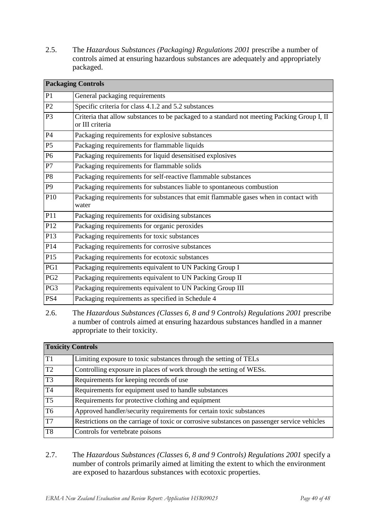2.5. The *Hazardous Substances (Packaging) Regulations 2001* prescribe a number of controls aimed at ensuring hazardous substances are adequately and appropriately packaged.

| <b>Packaging Controls</b> |                                                                                                                |  |
|---------------------------|----------------------------------------------------------------------------------------------------------------|--|
| P1                        | General packaging requirements                                                                                 |  |
| P2                        | Specific criteria for class 4.1.2 and 5.2 substances                                                           |  |
| P <sub>3</sub>            | Criteria that allow substances to be packaged to a standard not meeting Packing Group I, II<br>or III criteria |  |
| <b>P4</b>                 | Packaging requirements for explosive substances                                                                |  |
| P <sub>5</sub>            | Packaging requirements for flammable liquids                                                                   |  |
| P <sub>6</sub>            | Packaging requirements for liquid desensitised explosives                                                      |  |
| P7                        | Packaging requirements for flammable solids                                                                    |  |
| P <sub>8</sub>            | Packaging requirements for self-reactive flammable substances                                                  |  |
| P <sub>9</sub>            | Packaging requirements for substances liable to spontaneous combustion                                         |  |
| P10                       | Packaging requirements for substances that emit flammable gases when in contact with<br>water                  |  |
| P11                       | Packaging requirements for oxidising substances                                                                |  |
| P12                       | Packaging requirements for organic peroxides                                                                   |  |
| P13                       | Packaging requirements for toxic substances                                                                    |  |
| P14                       | Packaging requirements for corrosive substances                                                                |  |
| P15                       | Packaging requirements for ecotoxic substances                                                                 |  |
| PG1                       | Packaging requirements equivalent to UN Packing Group I                                                        |  |
| PG <sub>2</sub>           | Packaging requirements equivalent to UN Packing Group II                                                       |  |
| PG3                       | Packaging requirements equivalent to UN Packing Group III                                                      |  |
| PS4                       | Packaging requirements as specified in Schedule 4                                                              |  |

<sup>2.6.</sup> The *Hazardous Substances (Classes 6, 8 and 9 Controls) Regulations 2001* prescribe a number of controls aimed at ensuring hazardous substances handled in a manner appropriate to their toxicity.

| <b>Toxicity Controls</b> |                                                                                             |
|--------------------------|---------------------------------------------------------------------------------------------|
| T1                       | Limiting exposure to toxic substances through the setting of TELs                           |
| T2                       | Controlling exposure in places of work through the setting of WESs.                         |
| T3                       | Requirements for keeping records of use                                                     |
| T <sub>4</sub>           | Requirements for equipment used to handle substances                                        |
| T5                       | Requirements for protective clothing and equipment                                          |
| T <sub>6</sub>           | Approved handler/security requirements for certain toxic substances                         |
| T7                       | Restrictions on the carriage of toxic or corrosive substances on passenger service vehicles |
| T8                       | Controls for vertebrate poisons                                                             |

2.7. The *Hazardous Substances (Classes 6, 8 and 9 Controls) Regulations 2001* specify a number of controls primarily aimed at limiting the extent to which the environment are exposed to hazardous substances with ecotoxic properties.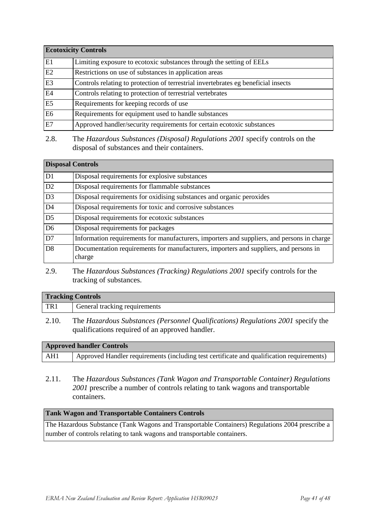| <b>Ecotoxicity Controls</b> |                                                                                    |
|-----------------------------|------------------------------------------------------------------------------------|
| E1                          | Limiting exposure to ecotoxic substances through the setting of EELs               |
| E2                          | Restrictions on use of substances in application areas                             |
| E <sub>3</sub>              | Controls relating to protection of terrestrial invertebrates eg beneficial insects |
| E <sub>4</sub>              | Controls relating to protection of terrestrial vertebrates                         |
| E5                          | Requirements for keeping records of use                                            |
| E <sub>6</sub>              | Requirements for equipment used to handle substances                               |
| E7                          | Approved handler/security requirements for certain ecotoxic substances             |

2.8. The *Hazardous Substances (Disposal) Regulations 2001* specify controls on the disposal of substances and their containers.

| <b>Disposal Controls</b> |                                                                                                 |
|--------------------------|-------------------------------------------------------------------------------------------------|
| D1                       | Disposal requirements for explosive substances                                                  |
| D2                       | Disposal requirements for flammable substances                                                  |
| D3                       | Disposal requirements for oxidising substances and organic peroxides                            |
| $\overline{D}4$          | Disposal requirements for toxic and corrosive substances                                        |
| 1D5                      | Disposal requirements for ecotoxic substances                                                   |
| D <sub>6</sub>           | Disposal requirements for packages                                                              |
| 1D7                      | Information requirements for manufacturers, importers and suppliers, and persons in charge      |
| D <sub>8</sub>           | Documentation requirements for manufacturers, importers and suppliers, and persons in<br>charge |

2.9. The *Hazardous Substances (Tracking) Regulations 2001* specify controls for the tracking of substances.

# **Tracking Controls** TR1 General tracking requirements

2.10. The *Hazardous Substances (Personnel Qualifications) Regulations 2001* specify the qualifications required of an approved handler.

| <b>Approved handler Controls</b> |                                                                                           |
|----------------------------------|-------------------------------------------------------------------------------------------|
| AH1                              | Approved Handler requirements (including test certificate and qualification requirements) |

2.11. The *Hazardous Substances (Tank Wagon and Transportable Container) Regulations 2001* prescribe a number of controls relating to tank wagons and transportable containers.

#### **Tank Wagon and Transportable Containers Controls**

The Hazardous Substance (Tank Wagons and Transportable Containers) Regulations 2004 prescribe a number of controls relating to tank wagons and transportable containers.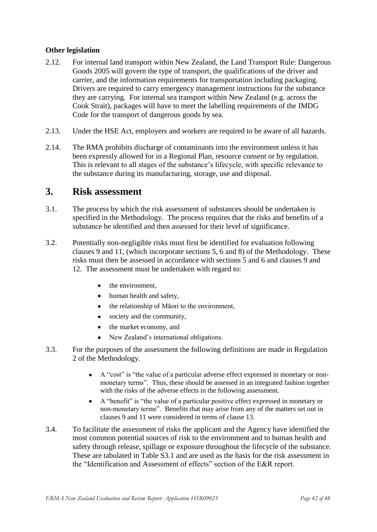#### **Other legislation**

- 2.12. For internal land transport within New Zealand, the Land Transport Rule: Dangerous Goods 2005 will govern the type of transport, the qualifications of the driver and carrier, and the information requirements for transportation including packaging. Drivers are required to carry emergency management instructions for the substance they are carrying. For internal sea transport within New Zealand (e.g. across the Cook Strait), packages will have to meet the labelling requirements of the IMDG Code for the transport of dangerous goods by sea.
- 2.13. Under the HSE Act, employers and workers are required to be aware of all hazards.
- 2.14. The RMA prohibits discharge of contaminants into the environment unless it has been expressly allowed for in a Regional Plan, resource consent or by regulation. This is relevant to all stages of the substance"s lifecycle, with specific relevance to the substance during its manufacturing, storage, use and disposal.

### <span id="page-41-0"></span>**3. Risk assessment**

- 3.1. The process by which the risk assessment of substances should be undertaken is specified in the Methodology. The process requires that the risks and benefits of a substance be identified and then assessed for their level of significance.
- 3.2. Potentially non-negligible risks must first be identified for evaluation following clauses 9 and 11, (which incorporate sections 5, 6 and 8) of the Methodology. These risks must then be assessed in accordance with sections 5 and 6 and clauses 9 and 12. The assessment must be undertaken with regard to:
	- $\bullet$ the environment,
	- human health and safety,  $\bullet$
	- the relationship of Māori to the environment,  $\bullet$
	- $\bullet$ society and the community,
	- the market economy, and  $\bullet$
	- New Zealand"s international obligations.  $\bullet$
- 3.3. For the purposes of the assessment the following definitions are made in Regulation 2 of the Methodology.
	- A "cost" is "the value of a particular adverse effect expressed in monetary or non- $\bullet$ monetary terms". Thus, these should be assessed in an integrated fashion together with the risks of the adverse effects in the following assessment.
	- A "benefit" is "the value of a particular positive effect expressed in monetary or non-monetary terms". Benefits that may arise from any of the matters set out in clauses 9 and 11 were considered in terms of clause 13.
- 3.4. To facilitate the assessment of risks the applicant and the Agency have identified the most common potential sources of risk to the environment and to human health and safety through release, spillage or exposure throughout the lifecycle of the substance. These are tabulated in Table S3.1 and are used as the basis for the risk assessment in the "Identification and Assessment of effects" section of the E&R report.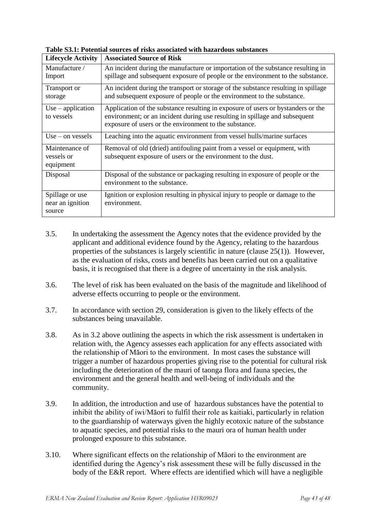| <b>Lifecycle Activity</b>                     | <b>Associated Source of Risk</b>                                                                                                                                                                                          |
|-----------------------------------------------|---------------------------------------------------------------------------------------------------------------------------------------------------------------------------------------------------------------------------|
| Manufacture /<br>Import                       | An incident during the manufacture or importation of the substance resulting in<br>spillage and subsequent exposure of people or the environment to the substance.                                                        |
| Transport or<br>storage                       | An incident during the transport or storage of the substance resulting in spillage<br>and subsequent exposure of people or the environment to the substance.                                                              |
| $Use - application$<br>to vessels             | Application of the substance resulting in exposure of users or bystanders or the<br>environment; or an incident during use resulting in spillage and subsequent<br>exposure of users or the environment to the substance. |
| $Use - on vessels$                            | Leaching into the aquatic environment from vessel hulls/marine surfaces                                                                                                                                                   |
| Maintenance of<br>vessels or<br>equipment     | Removal of old (dried) antifouling paint from a vessel or equipment, with<br>subsequent exposure of users or the environment to the dust.                                                                                 |
| Disposal                                      | Disposal of the substance or packaging resulting in exposure of people or the<br>environment to the substance.                                                                                                            |
| Spillage or use<br>near an ignition<br>source | Ignition or explosion resulting in physical injury to people or damage to the<br>environment.                                                                                                                             |

**Table S3.1: Potential sources of risks associated with hazardous substances** 

- 3.5. In undertaking the assessment the Agency notes that the evidence provided by the applicant and additional evidence found by the Agency, relating to the hazardous properties of the substances is largely scientific in nature (clause 25(1)). However, as the evaluation of risks, costs and benefits has been carried out on a qualitative basis, it is recognised that there is a degree of uncertainty in the risk analysis.
- 3.6. The level of risk has been evaluated on the basis of the magnitude and likelihood of adverse effects occurring to people or the environment.
- 3.7. In accordance with section 29, consideration is given to the likely effects of the substances being unavailable.
- 3.8. As in 3.2 above outlining the aspects in which the risk assessment is undertaken in relation with, the Agency assesses each application for any effects associated with the relationship of Māori to the environment. In most cases the substance will trigger a number of hazardous properties giving rise to the potential for cultural risk including the deterioration of the mauri of taonga flora and fauna species, the environment and the general health and well-being of individuals and the community.
- 3.9. In addition, the introduction and use of hazardous substances have the potential to inhibit the ability of iwi/Māori to fulfil their role as kaitiaki, particularly in relation to the guardianship of waterways given the highly ecotoxic nature of the substance to aquatic species, and potential risks to the mauri ora of human health under prolonged exposure to this substance.
- 3.10. Where significant effects on the relationship of Māori to the environment are identified during the Agency's risk assessment these will be fully discussed in the body of the E&R report. Where effects are identified which will have a negligible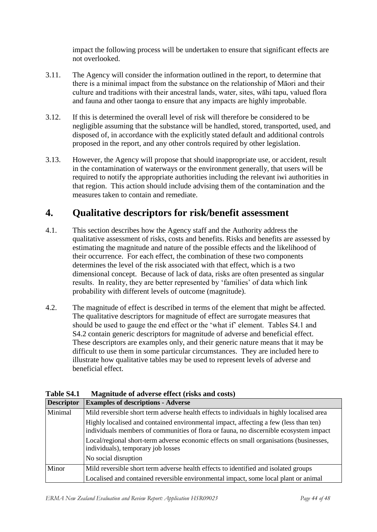impact the following process will be undertaken to ensure that significant effects are not overlooked.

- 3.11. The Agency will consider the information outlined in the report, to determine that there is a minimal impact from the substance on the relationship of Māori and their culture and traditions with their ancestral lands, water, sites, wāhi tapu, valued flora and fauna and other taonga to ensure that any impacts are highly improbable.
- 3.12. If this is determined the overall level of risk will therefore be considered to be negligible assuming that the substance will be handled, stored, transported, used, and disposed of, in accordance with the explicitly stated default and additional controls proposed in the report, and any other controls required by other legislation.
- 3.13. However, the Agency will propose that should inappropriate use, or accident, result in the contamination of waterways or the environment generally, that users will be required to notify the appropriate authorities including the relevant iwi authorities in that region. This action should include advising them of the contamination and the measures taken to contain and remediate.

# <span id="page-43-0"></span>**4. Qualitative descriptors for risk/benefit assessment**

- 4.1. This section describes how the Agency staff and the Authority address the qualitative assessment of risks, costs and benefits. Risks and benefits are assessed by estimating the magnitude and nature of the possible effects and the likelihood of their occurrence. For each effect, the combination of these two components determines the level of the risk associated with that effect, which is a two dimensional concept. Because of lack of data, risks are often presented as singular results. In reality, they are better represented by "families" of data which link probability with different levels of outcome (magnitude).
- 4.2. The magnitude of effect is described in terms of the element that might be affected. The qualitative descriptors for magnitude of effect are surrogate measures that should be used to gauge the end effect or the "what if" element. Tables S4.1 and S4.2 contain generic descriptors for magnitude of adverse and beneficial effect. These descriptors are examples only, and their generic nature means that it may be difficult to use them in some particular circumstances. They are included here to illustrate how qualitative tables may be used to represent levels of adverse and beneficial effect.

| <b>Descriptor</b> | <b>Examples of descriptions - Adverse</b>                                                                                                                                     |
|-------------------|-------------------------------------------------------------------------------------------------------------------------------------------------------------------------------|
| Minimal           | Mild reversible short term adverse health effects to individuals in highly localised area                                                                                     |
|                   | Highly localised and contained environmental impact, affecting a few (less than ten)<br>individuals members of communities of flora or fauna, no discernible ecosystem impact |
|                   | Local/regional short-term adverse economic effects on small organisations (businesses,<br>individuals), temporary job losses                                                  |
|                   | No social disruption                                                                                                                                                          |
| Minor             | Mild reversible short term adverse health effects to identified and isolated groups                                                                                           |
|                   | Localised and contained reversible environmental impact, some local plant or animal                                                                                           |

**Table S4.1 Magnitude of adverse effect (risks and costs)**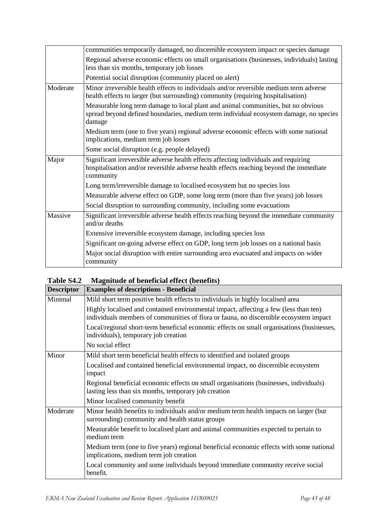|          | communities temporarily damaged, no discernible ecosystem impact or species damage                                                                                                         |
|----------|--------------------------------------------------------------------------------------------------------------------------------------------------------------------------------------------|
|          | Regional adverse economic effects on small organisations (businesses, individuals) lasting<br>less than six months, temporary job losses                                                   |
|          | Potential social disruption (community placed on alert)                                                                                                                                    |
| Moderate | Minor irreversible health effects to individuals and/or reversible medium term adverse<br>health effects to larger (but surrounding) community (requiring hospitalisation)                 |
|          | Measurable long term damage to local plant and animal communities, but no obvious<br>spread beyond defined boundaries, medium term individual ecosystem damage, no species<br>damage       |
|          | Medium term (one to five years) regional adverse economic effects with some national<br>implications, medium term job losses                                                               |
|          | Some social disruption (e.g. people delayed)                                                                                                                                               |
| Major    | Significant irreversible adverse health effects affecting individuals and requiring<br>hospitalisation and/or reversible adverse health effects reaching beyond the immediate<br>community |
|          | Long term/irreversible damage to localised ecosystem but no species loss                                                                                                                   |
|          | Measurable adverse effect on GDP, some long term (more than five years) job losses                                                                                                         |
|          | Social disruption to surrounding community, including some evacuations                                                                                                                     |
| Massive  | Significant irreversible adverse health effects reaching beyond the immediate community<br>and/or deaths                                                                                   |
|          | Extensive irreversible ecosystem damage, including species loss                                                                                                                            |
|          | Significant on-going adverse effect on GDP, long term job losses on a national basis                                                                                                       |
|          | Major social disruption with entire surrounding area evacuated and impacts on wider<br>community                                                                                           |

### **Table S4.2 Magnitude of beneficial effect (benefits)**

| <b>Descriptor</b> | <b>Examples of descriptions - Beneficial</b>                                                                                                                                  |
|-------------------|-------------------------------------------------------------------------------------------------------------------------------------------------------------------------------|
| Minimal           | Mild short term positive health effects to individuals in highly localised area                                                                                               |
|                   | Highly localised and contained environmental impact, affecting a few (less than ten)<br>individuals members of communities of flora or fauna, no discernible ecosystem impact |
|                   | Local/regional short-term beneficial economic effects on small organisations (businesses,<br>individuals), temporary job creation                                             |
|                   | No social effect                                                                                                                                                              |
| Minor             | Mild short term beneficial health effects to identified and isolated groups                                                                                                   |
|                   | Localised and contained beneficial environmental impact, no discernible ecosystem<br>impact                                                                                   |
|                   | Regional beneficial economic effects on small organisations (businesses, individuals)<br>lasting less than six months, temporary job creation                                 |
|                   | Minor localised community benefit                                                                                                                                             |
| Moderate          | Minor health benefits to individuals and/or medium term health impacts on larger (but<br>surrounding) community and health status groups                                      |
|                   | Measurable benefit to localised plant and animal communities expected to pertain to<br>medium term                                                                            |
|                   | Medium term (one to five years) regional beneficial economic effects with some national<br>implications, medium term job creation                                             |
|                   | Local community and some individuals beyond immediate community receive social<br>benefit.                                                                                    |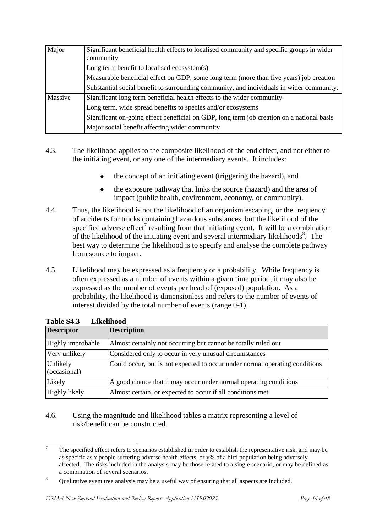| Major   | Significant beneficial health effects to localised community and specific groups in wider<br>community |
|---------|--------------------------------------------------------------------------------------------------------|
|         | Long term benefit to localised ecosystem(s)                                                            |
|         | Measurable beneficial effect on GDP, some long term (more than five years) job creation                |
|         | Substantial social benefit to surrounding community, and individuals in wider community.               |
| Massive | Significant long term beneficial health effects to the wider community                                 |
|         | Long term, wide spread benefits to species and/or ecosystems                                           |
|         | Significant on-going effect beneficial on GDP, long term job creation on a national basis              |
|         | Major social benefit affecting wider community                                                         |

- 4.3. The likelihood applies to the composite likelihood of the end effect, and not either to the initiating event, or any one of the intermediary events. It includes:
	- the concept of an initiating event (triggering the hazard), and
	- the exposure pathway that links the source (hazard) and the area of impact (public health, environment, economy, or community).
- 4.4. Thus, the likelihood is not the likelihood of an organism escaping, or the frequency of accidents for trucks containing hazardous substances, but the likelihood of the specified adverse effect<sup>7</sup> resulting from that initiating event. It will be a combination of the likelihood of the initiating event and several intermediary likelihoods<sup>8</sup>. The best way to determine the likelihood is to specify and analyse the complete pathway from source to impact.
- 4.5. Likelihood may be expressed as a frequency or a probability. While frequency is often expressed as a number of events within a given time period, it may also be expressed as the number of events per head of (exposed) population. As a probability, the likelihood is dimensionless and refers to the number of events of interest divided by the total number of events (range 0-1).

| 1 AVIC 97.9<br>еписнични |                                                                             |  |  |  |  |  |
|--------------------------|-----------------------------------------------------------------------------|--|--|--|--|--|
| <b>Descriptor</b>        | <b>Description</b>                                                          |  |  |  |  |  |
| Highly improbable        | Almost certainly not occurring but cannot be totally ruled out              |  |  |  |  |  |
| Very unlikely            | Considered only to occur in very unusual circumstances                      |  |  |  |  |  |
| Unlikely<br>(occasional) | Could occur, but is not expected to occur under normal operating conditions |  |  |  |  |  |
| Likely                   | A good chance that it may occur under normal operating conditions           |  |  |  |  |  |
| Highly likely            | Almost certain, or expected to occur if all conditions met                  |  |  |  |  |  |

| Table S4.3 | Likelihood |
|------------|------------|
|            |            |

4.6. Using the magnitude and likelihood tables a matrix representing a level of risk/benefit can be constructed.

 $\overline{z}$ <sup>7</sup> The specified effect refers to scenarios established in order to establish the representative risk, and may be as specific as x people suffering adverse health effects, or y% of a bird population being adversely affected. The risks included in the analysis may be those related to a single scenario, or may be defined as a combination of several scenarios.

<sup>&</sup>lt;sup>8</sup> Qualitative event tree analysis may be a useful way of ensuring that all aspects are included.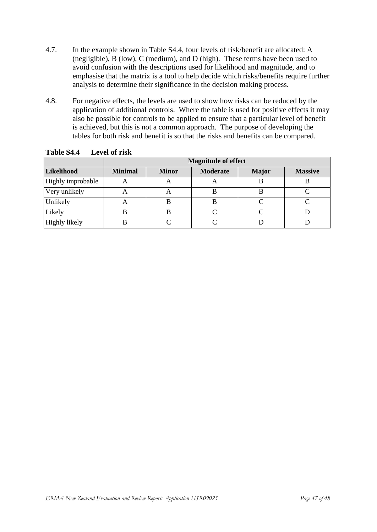- 4.7. In the example shown in Table S4.4, four levels of risk/benefit are allocated: A (negligible), B (low), C (medium), and D (high). These terms have been used to avoid confusion with the descriptions used for likelihood and magnitude, and to emphasise that the matrix is a tool to help decide which risks/benefits require further analysis to determine their significance in the decision making process.
- 4.8. For negative effects, the levels are used to show how risks can be reduced by the application of additional controls. Where the table is used for positive effects it may also be possible for controls to be applied to ensure that a particular level of benefit is achieved, but this is not a common approach. The purpose of developing the tables for both risk and benefit is so that the risks and benefits can be compared.

|                   | <b>Magnitude of effect</b> |              |                 |              |                |  |
|-------------------|----------------------------|--------------|-----------------|--------------|----------------|--|
| Likelihood        | <b>Minimal</b>             | <b>Minor</b> | <b>Moderate</b> | <b>Major</b> | <b>Massive</b> |  |
| Highly improbable | $\boldsymbol{\mathsf{A}}$  | A            | A               | В            | B              |  |
| Very unlikely     |                            | A            | B               | B            |                |  |
| Unlikely          | $\boldsymbol{\mathsf{A}}$  | В            | B               |              |                |  |
| Likely            |                            | B            | $\cap$          |              |                |  |
| Highly likely     |                            |              |                 |              |                |  |

**Table S4.4 Level of risk**